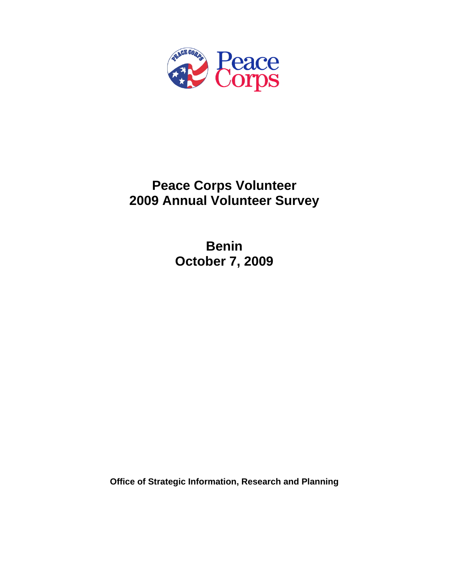

# **Peace Corps Volunteer 2009 Annual Volunteer Survey**

**Benin October 7, 2009** 

**Office of Strategic Information, Research and Planning**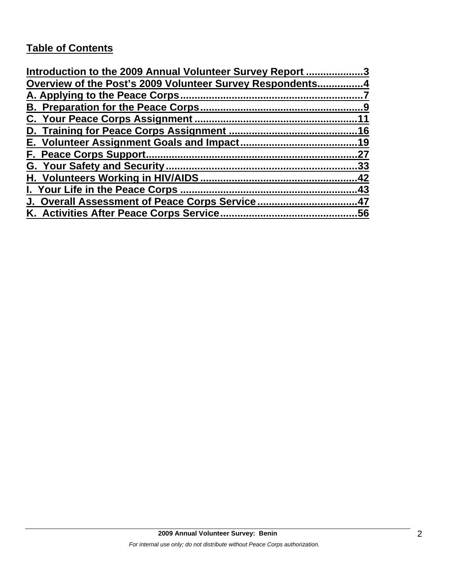# **Table of Contents**

| Introduction to the 2009 Annual Volunteer Survey Report 3 |     |
|-----------------------------------------------------------|-----|
| Overview of the Post's 2009 Volunteer Survey Respondents4 |     |
|                                                           |     |
|                                                           |     |
|                                                           | 11  |
|                                                           |     |
|                                                           |     |
|                                                           | 27  |
|                                                           | .33 |
|                                                           | 42  |
| I. Your Life in the Peace Corps.                          | .43 |
| J. Overall Assessment of Peace Corps Service47            |     |
| K. Activities After Peace Corps Service                   | .56 |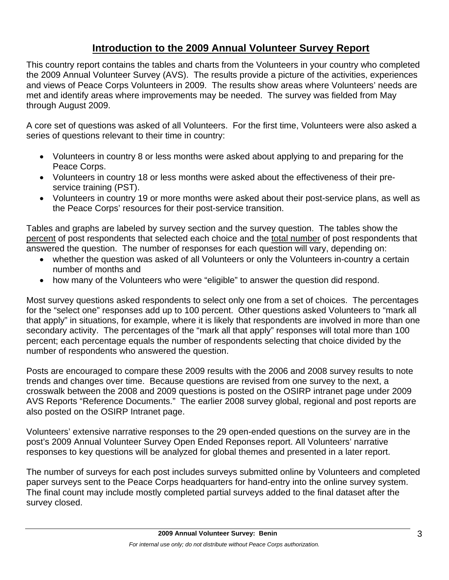# **Introduction to the 2009 Annual Volunteer Survey Report**

This country report contains the tables and charts from the Volunteers in your country who completed the 2009 Annual Volunteer Survey (AVS). The results provide a picture of the activities, experiences and views of Peace Corps Volunteers in 2009. The results show areas where Volunteers' needs are met and identify areas where improvements may be needed. The survey was fielded from May through August 2009.

A core set of questions was asked of all Volunteers. For the first time, Volunteers were also asked a series of questions relevant to their time in country:

- Volunteers in country 8 or less months were asked about applying to and preparing for the Peace Corps.
- Volunteers in country 18 or less months were asked about the effectiveness of their preservice training (PST).
- Volunteers in country 19 or more months were asked about their post-service plans, as well as the Peace Corps' resources for their post-service transition.

Tables and graphs are labeled by survey section and the survey question. The tables show the percent of post respondents that selected each choice and the total number of post respondents that answered the question. The number of responses for each question will vary, depending on:

- whether the question was asked of all Volunteers or only the Volunteers in-country a certain number of months and
- how many of the Volunteers who were "eligible" to answer the question did respond.

Most survey questions asked respondents to select only one from a set of choices. The percentages for the "select one" responses add up to 100 percent. Other questions asked Volunteers to "mark all that apply" in situations, for example, where it is likely that respondents are involved in more than one secondary activity. The percentages of the "mark all that apply" responses will total more than 100 percent; each percentage equals the number of respondents selecting that choice divided by the number of respondents who answered the question.

Posts are encouraged to compare these 2009 results with the 2006 and 2008 survey results to note trends and changes over time. Because questions are revised from one survey to the next, a crosswalk between the 2008 and 2009 questions is posted on the OSIRP intranet page under 2009 AVS Reports "Reference Documents." The earlier 2008 survey global, regional and post reports are also posted on the OSIRP Intranet page.

Volunteers' extensive narrative responses to the 29 open-ended questions on the survey are in the post's 2009 Annual Volunteer Survey Open Ended Reponses report. All Volunteers' narrative responses to key questions will be analyzed for global themes and presented in a later report.

The number of surveys for each post includes surveys submitted online by Volunteers and completed paper surveys sent to the Peace Corps headquarters for hand-entry into the online survey system. The final count may include mostly completed partial surveys added to the final dataset after the survey closed.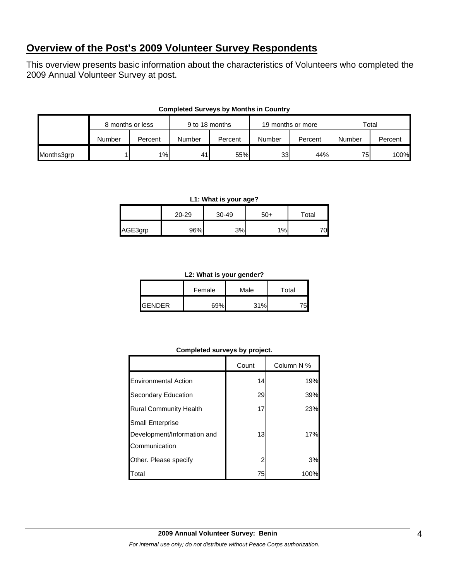# **Overview of the Post's 2009 Volunteer Survey Respondents**

This overview presents basic information about the characteristics of Volunteers who completed the 2009 Annual Volunteer Survey at post.

|            | 8 months or less |         | 9 to 18 months |         | 19 months or more |         | Total  |         |
|------------|------------------|---------|----------------|---------|-------------------|---------|--------|---------|
|            | Number           | Percent | Number         | Percent | Number            | Percent | Number | Percent |
| Months3grp |                  | $1\%$   | 41             | 55%     | 33 <sub>l</sub>   | 44%     | 75     | 100%    |

#### **Completed Surveys by Months in Country**

#### **L1: What is your age?**

|         | 20-29 | 30-49 | $50+$ | $\tau$ otal |
|---------|-------|-------|-------|-------------|
| AGE3grp | 96%   | 3%    | 1%    |             |

#### **L2: What is your gender?**

|                | Female | Male | Total |  |
|----------------|--------|------|-------|--|
| <b>IGENDER</b> | 69%    | 31%  |       |  |

#### **Completed surveys by project.**

|                               | Count | Column N % |
|-------------------------------|-------|------------|
| <b>Environmental Action</b>   | 14    | 19%        |
| Secondary Education           | 29    | 39%        |
| <b>Rural Community Health</b> | 17    | 23%        |
| Small Enterprise              |       |            |
| Development/Information and   | 13    | 17%        |
| Communication                 |       |            |
| Other. Please specify         | 2     | 3%         |
| Total                         | 75    | 100%       |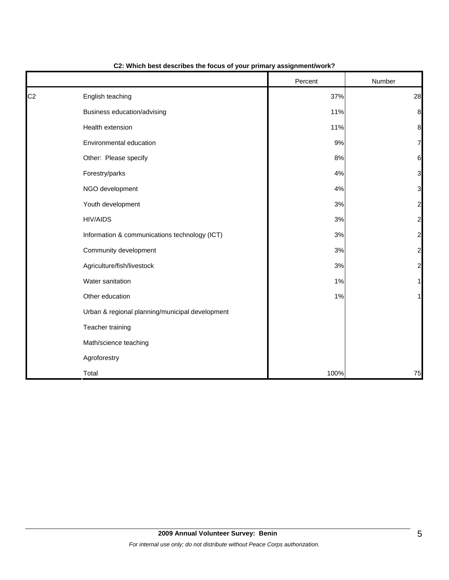|                |                                                 | Percent | Number                  |
|----------------|-------------------------------------------------|---------|-------------------------|
| C <sub>2</sub> | English teaching                                | 37%     | 28                      |
|                | Business education/advising                     | 11%     | 8                       |
|                | Health extension                                | 11%     | 8                       |
|                | Environmental education                         | 9%      | 7                       |
|                | Other: Please specify                           | 8%      | 6                       |
|                | Forestry/parks                                  | 4%      | 3                       |
|                | NGO development                                 | 4%      | 3                       |
|                | Youth development                               | $3%$    | $\overline{\mathbf{c}}$ |
|                | <b>HIV/AIDS</b>                                 | $3%$    | $\overline{c}$          |
|                | Information & communications technology (ICT)   | 3%      | $\overline{c}$          |
|                | Community development                           | 3%      | $\overline{\mathbf{c}}$ |
|                | Agriculture/fish/livestock                      | $3%$    | $\overline{a}$          |
|                | Water sanitation                                | 1%      | 1                       |
|                | Other education                                 | 1%      |                         |
|                | Urban & regional planning/municipal development |         |                         |
|                | Teacher training                                |         |                         |
|                | Math/science teaching                           |         |                         |
|                | Agroforestry                                    |         |                         |
|                | Total                                           | 100%    | 75                      |

# **C2: Which best describes the focus of your primary assignment/work?**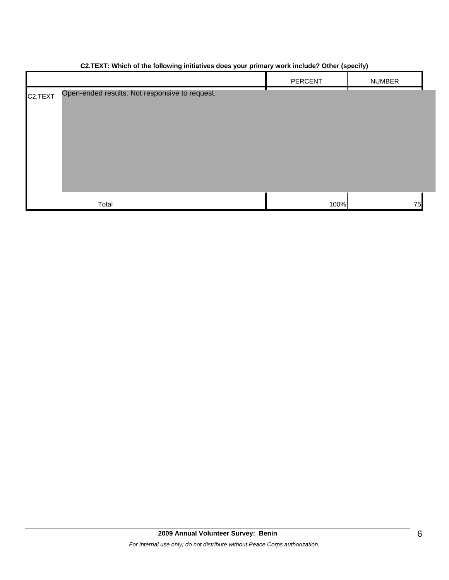|                      |                                                | . .     | .,            |
|----------------------|------------------------------------------------|---------|---------------|
|                      |                                                | PERCENT | <b>NUMBER</b> |
| C <sub>2</sub> .TEXT | Open-ended results. Not responsive to request. |         |               |
|                      | Total                                          | 100%    | 75            |

## **C2.TEXT: Which of the following initiatives does your primary work include? Other (specify)**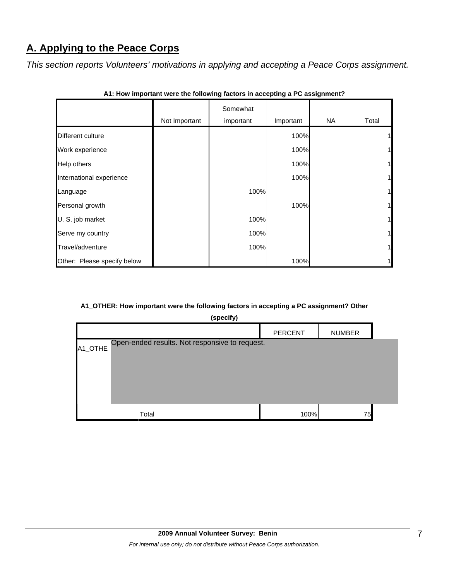# **A. Applying to the Peace Corps**

*This section reports Volunteers' motivations in applying and accepting a Peace Corps assignment.* 

|                             | Not Important | Somewhat<br>important | Important | <b>NA</b> | Total |
|-----------------------------|---------------|-----------------------|-----------|-----------|-------|
| Different culture           |               |                       | 100%      |           |       |
| Work experience             |               |                       | 100%      |           |       |
| <b>Help others</b>          |               |                       | 100%      |           |       |
| International experience    |               |                       | 100%      |           |       |
| Language                    |               | 100%                  |           |           |       |
| Personal growth             |               |                       | 100%      |           |       |
| U. S. job market            |               | 100%                  |           |           | 1     |
| Serve my country            |               | 100%                  |           |           | 1     |
| Travel/adventure            |               | 100%                  |           |           |       |
| Other: Please specify below |               |                       | 100%      |           |       |

| A1: How important were the following factors in accepting a PC assignment? |  |  |  |
|----------------------------------------------------------------------------|--|--|--|
|----------------------------------------------------------------------------|--|--|--|

## **A1\_OTHER: How important were the following factors in accepting a PC assignment? Other**

| (specify)                                                 |                |               |  |  |
|-----------------------------------------------------------|----------------|---------------|--|--|
|                                                           | <b>PERCENT</b> | <b>NUMBER</b> |  |  |
| Open-ended results. Not responsive to request.<br>A1_OTHE |                |               |  |  |
| Total                                                     | 100%           | 75            |  |  |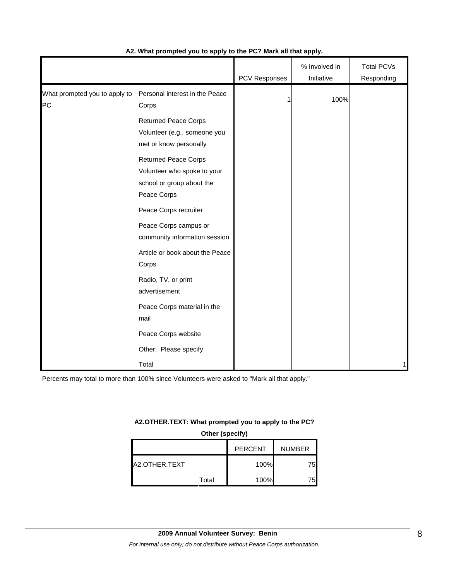|                                     |                                                                                                        | PCV Responses | % Involved in<br>Initiative | <b>Total PCVs</b><br>Responding |
|-------------------------------------|--------------------------------------------------------------------------------------------------------|---------------|-----------------------------|---------------------------------|
| What prompted you to apply to<br>PC | Personal interest in the Peace<br>Corps                                                                | 1             | 100%                        |                                 |
|                                     | <b>Returned Peace Corps</b><br>Volunteer (e.g., someone you<br>met or know personally                  |               |                             |                                 |
|                                     | <b>Returned Peace Corps</b><br>Volunteer who spoke to your<br>school or group about the<br>Peace Corps |               |                             |                                 |
|                                     | Peace Corps recruiter<br>Peace Corps campus or<br>community information session                        |               |                             |                                 |
|                                     | Article or book about the Peace<br>Corps                                                               |               |                             |                                 |
|                                     | Radio, TV, or print<br>advertisement                                                                   |               |                             |                                 |
|                                     | Peace Corps material in the<br>mail                                                                    |               |                             |                                 |
|                                     | Peace Corps website<br>Other: Please specify                                                           |               |                             |                                 |
|                                     | Total                                                                                                  |               |                             | 1                               |

#### **A2. What prompted you to apply to the PC? Mark all that apply.**

Percents may total to more than 100% since Volunteers were asked to "Mark all that apply."

#### **A2.OTHER.TEXT: What prompted you to apply to the PC?**

**Other (specify)**

|               |       | <b>PERCENT</b> | <b>NUMBER</b> |
|---------------|-------|----------------|---------------|
| A2.OTHER.TEXT |       | 100%           | 75I           |
|               | Total | 100%           | 75.           |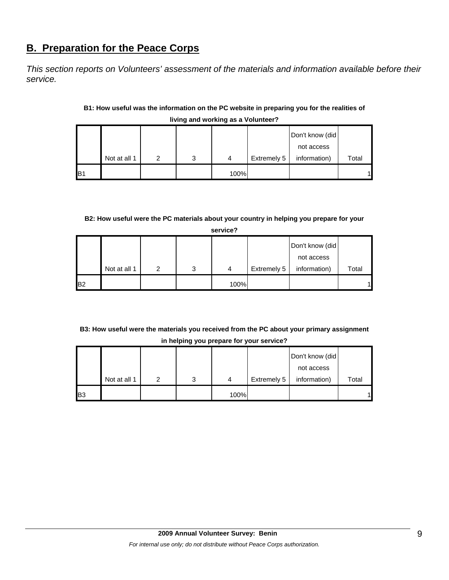# **B. Preparation for the Peace Corps**

*This section reports on Volunteers' assessment of the materials and information available before their service.* 

## **B1: How useful was the information on the PC website in preparing you for the realities of living and working as a Volunteer?**

|                |              |   |   |      |             | Don't know (did) |       |
|----------------|--------------|---|---|------|-------------|------------------|-------|
|                |              |   |   |      |             | not access       |       |
|                | Not at all 1 | ົ | 3 | 4    | Extremely 5 | information)     | Total |
| B <sub>1</sub> |              |   |   | 100% |             |                  |       |

## **B2: How useful were the PC materials about your country in helping you prepare for your**

|                | service?     |   |   |      |             |                 |       |  |
|----------------|--------------|---|---|------|-------------|-----------------|-------|--|
|                |              |   |   |      |             | Don't know (did |       |  |
|                |              |   |   |      |             | not access      |       |  |
|                | Not at all 1 | 2 | 3 | 4    | Extremely 5 | information)    | Total |  |
| B <sub>2</sub> |              |   |   | 100% |             |                 |       |  |

# **B3: How useful were the materials you received from the PC about your primary assignment in helping you prepare for your service?**

|                |              |   |   |      |             | Don't know (did |       |
|----------------|--------------|---|---|------|-------------|-----------------|-------|
|                |              |   |   |      |             | not access      |       |
|                | Not at all 1 | າ | 3 | 4    | Extremely 5 | information)    | Total |
| B <sub>3</sub> |              |   |   | 100% |             |                 | 4     |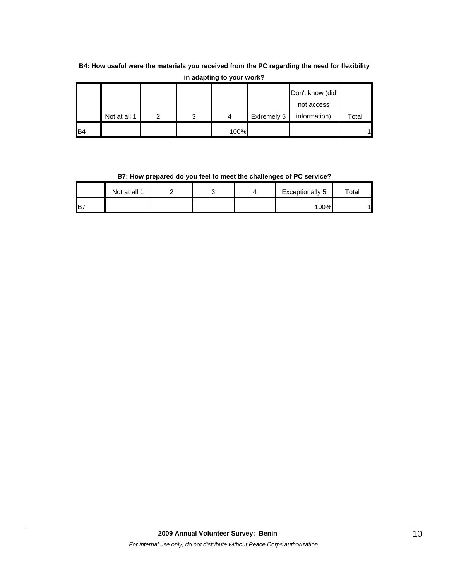# **B4: How useful were the materials you received from the PC regarding the need for flexibility in adapting to your work?**

|                 |              |   |      |             | Don't know (did |       |
|-----------------|--------------|---|------|-------------|-----------------|-------|
|                 |              |   |      |             | not access      |       |
|                 | Not at all 1 | 3 | 4    | Extremely 5 | information)    | Total |
| IB <sub>4</sub> |              |   | 100% |             |                 |       |

**B7: How prepared do you feel to meet the challenges of PC service?**

|     | Not at all 1 |  | Exceptionally 5 | $\mathsf{^{t}$ otal |
|-----|--------------|--|-----------------|---------------------|
| IB. |              |  | 100%            |                     |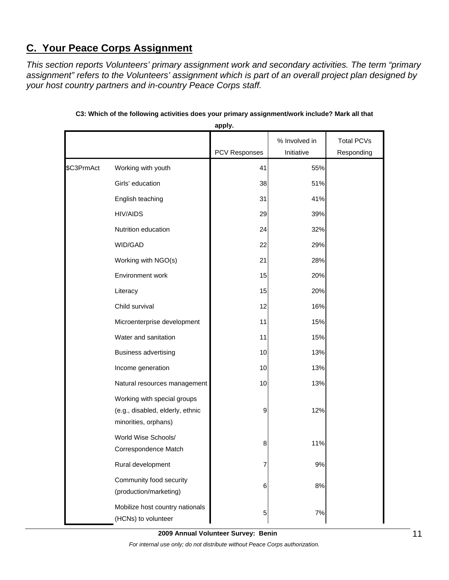# **C. Your Peace Corps Assignment**

*This section reports Volunteers' primary assignment work and secondary activities. The term "primary assignment" refers to the Volunteers' assignment which is part of an overall project plan designed by your host country partners and in-country Peace Corps staff.* 

|            |                                                                                         | apply.        |                             |                                 |
|------------|-----------------------------------------------------------------------------------------|---------------|-----------------------------|---------------------------------|
|            |                                                                                         | PCV Responses | % Involved in<br>Initiative | <b>Total PCVs</b><br>Responding |
| \$C3PrmAct | Working with youth                                                                      | 41            | 55%                         |                                 |
|            | Girls' education                                                                        | 38            | 51%                         |                                 |
|            | English teaching                                                                        | 31            | 41%                         |                                 |
|            | <b>HIV/AIDS</b>                                                                         | 29            | 39%                         |                                 |
|            | Nutrition education                                                                     | 24            | 32%                         |                                 |
|            | WID/GAD                                                                                 | 22            | 29%                         |                                 |
|            | Working with NGO(s)                                                                     | 21            | 28%                         |                                 |
|            | Environment work                                                                        | 15            | 20%                         |                                 |
|            | Literacy                                                                                | 15            | 20%                         |                                 |
|            | Child survival                                                                          | 12            | 16%                         |                                 |
|            | Microenterprise development                                                             | 11            | 15%                         |                                 |
|            | Water and sanitation                                                                    | 11            | 15%                         |                                 |
|            | <b>Business advertising</b>                                                             | 10            | 13%                         |                                 |
|            | Income generation                                                                       | 10            | 13%                         |                                 |
|            | Natural resources management                                                            | 10            | 13%                         |                                 |
|            | Working with special groups<br>(e.g., disabled, elderly, ethnic<br>minorities, orphans) | 9             | 12%                         |                                 |
|            | World Wise Schools/<br>Correspondence Match                                             | 8             | 11%                         |                                 |
|            | Rural development                                                                       | 7             | 9%                          |                                 |
|            | Community food security<br>(production/marketing)                                       | 6             | 8%                          |                                 |
|            | Mobilize host country nationals<br>(HCNs) to volunteer                                  | 5             | 7%                          |                                 |

**C3: Which of the following activities does your primary assignment/work include? Mark all that** 

**2009 Annual Volunteer Survey: Benin** 

*For internal use only; do not distribute without Peace Corps authorization.*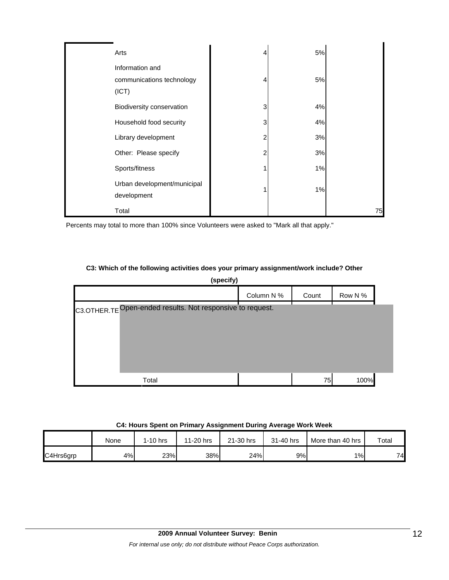| Arts                                                  | 4 | 5% |    |
|-------------------------------------------------------|---|----|----|
| Information and<br>communications technology<br>(ICT) | 4 | 5% |    |
| Biodiversity conservation                             | 3 | 4% |    |
| Household food security                               | 3 | 4% |    |
| Library development                                   | 2 | 3% |    |
| Other: Please specify                                 | 2 | 3% |    |
| Sports/fitness                                        | 4 | 1% |    |
| Urban development/municipal<br>development            |   | 1% |    |
| Total                                                 |   |    | 75 |

Percents may total to more than 100% since Volunteers were asked to "Mark all that apply."

#### **C3: Which of the following activities does your primary assignment/work include? Other**

**(specify)** Column N % Count Row N % C3.OTHER.TE Open-ended results. Not responsive to request.Total 75 100%

#### **C4: Hours Spent on Primary Assignment During Average Work Week**

|           | None | $1-10$ hrs | 11-20 hrs | 21-30 hrs | 31-40 hrs | More than 40 hrs | Total |
|-----------|------|------------|-----------|-----------|-----------|------------------|-------|
| C4Hrs6grp | 4%l  | 23%        | 38%       | 24%       | 9%        | $1\%$            | 74    |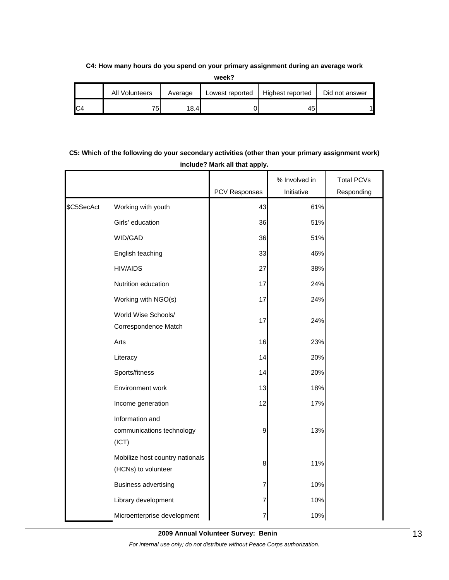#### **C4: How many hours do you spend on your primary assignment during an average work**

**week?**

| All<br>Volunteers | Average | Lowest reported | Highest reported | Did not answer |
|-------------------|---------|-----------------|------------------|----------------|
| 75.<br>ັບ         | 18.4    |                 | 451              |                |

# **C5: Which of the following do your secondary activities (other than your primary assignment work) include? Mark all that apply.**

|            |                                                        |               | % Involved in | <b>Total PCVs</b> |
|------------|--------------------------------------------------------|---------------|---------------|-------------------|
|            |                                                        | PCV Responses | Initiative    | Responding        |
| \$C5SecAct | Working with youth                                     | 43            | 61%           |                   |
|            | Girls' education                                       | 36            | 51%           |                   |
|            | WID/GAD                                                | 36            | 51%           |                   |
|            | English teaching                                       | 33            | 46%           |                   |
|            | <b>HIV/AIDS</b>                                        | 27            | 38%           |                   |
|            | Nutrition education                                    | 17            | 24%           |                   |
|            | Working with NGO(s)                                    | 17            | 24%           |                   |
|            | World Wise Schools/<br>Correspondence Match            | 17            | 24%           |                   |
|            | Arts                                                   | 16            | 23%           |                   |
|            | Literacy                                               | 14            | 20%           |                   |
|            | Sports/fitness                                         | 14            | 20%           |                   |
|            | Environment work                                       | 13            | 18%           |                   |
|            | Income generation                                      | 12            | 17%           |                   |
|            | Information and<br>communications technology<br>(ICT)  | 9             | 13%           |                   |
|            | Mobilize host country nationals<br>(HCNs) to volunteer | 8             | 11%           |                   |
|            | <b>Business advertising</b>                            | 7             | 10%           |                   |
|            | Library development                                    | 7             | 10%           |                   |
|            | Microenterprise development                            | 7             | 10%           |                   |

**2009 Annual Volunteer Survey: Benin** 

*For internal use only; do not distribute without Peace Corps authorization.*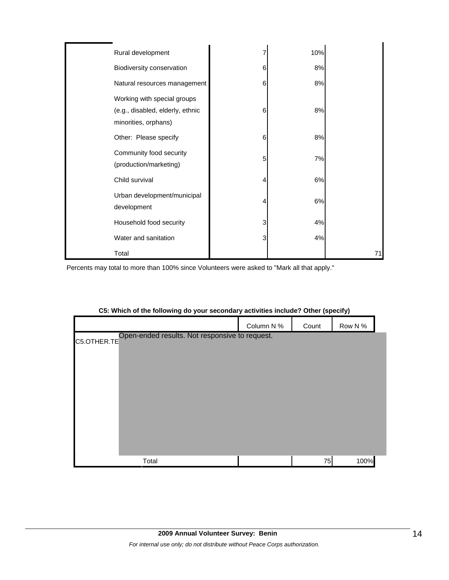| Rural development                                                                       |   | 10% |    |
|-----------------------------------------------------------------------------------------|---|-----|----|
| Biodiversity conservation                                                               | 6 | 8%  |    |
| Natural resources management                                                            | 6 | 8%  |    |
| Working with special groups<br>(e.g., disabled, elderly, ethnic<br>minorities, orphans) | 6 | 8%  |    |
| Other: Please specify                                                                   | 6 | 8%  |    |
| Community food security<br>(production/marketing)                                       | 5 | 7%  |    |
| Child survival                                                                          | 4 | 6%  |    |
| Urban development/municipal<br>development                                              | 4 | 6%  |    |
| Household food security                                                                 | 3 | 4%  |    |
| Water and sanitation                                                                    | 3 | 4%  |    |
| Total                                                                                   |   |     | 71 |

Percents may total to more than 100% since Volunteers were asked to "Mark all that apply."

|                                                            | Column N % | Count | Row N % |  |
|------------------------------------------------------------|------------|-------|---------|--|
| C5.OTHER.TE Open-ended results. Not responsive to request. |            |       |         |  |
|                                                            |            |       |         |  |
|                                                            |            |       |         |  |
|                                                            |            |       |         |  |
|                                                            |            |       |         |  |
|                                                            |            |       |         |  |
|                                                            |            |       |         |  |
|                                                            |            |       |         |  |
| Total                                                      |            | 75    | 100%    |  |

#### **C5: Which of the following do your secondary activities include? Other (specify)**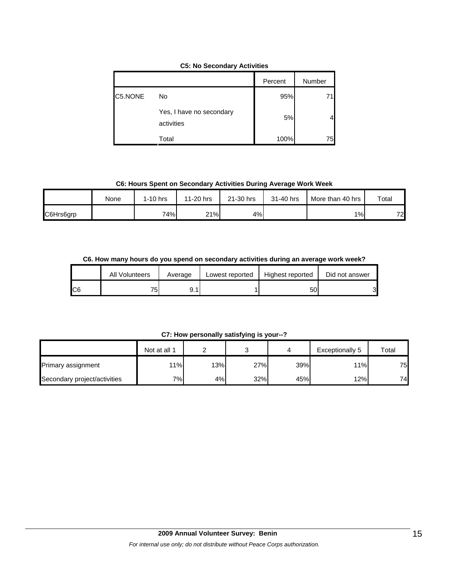| $\frac{1}{200}$ . $\frac{1}{200}$ $\frac{1}{200}$ . $\frac{1}{200}$ . $\frac{1}{200}$ . $\frac{1}{200}$ . $\frac{1}{200}$ |         |        |  |  |  |  |
|---------------------------------------------------------------------------------------------------------------------------|---------|--------|--|--|--|--|
|                                                                                                                           | Percent | Number |  |  |  |  |
| No                                                                                                                        | 95%     |        |  |  |  |  |

Yes, I have no secondary

activities

C5.NONE

#### **C5: No Secondary Activities**

Total 100% 75

5% 4

**C6: Hours Spent on Secondary Activities During Average Work Week**

|           | None | 1-10 hrs | 11-20 hrs | 21-30 hrs | 31-40 hrs | More than 40 hrs | Total |
|-----------|------|----------|-----------|-----------|-----------|------------------|-------|
| C6Hrs6grp |      | 74%      | 21%       | 4%        |           | 1%               | 72    |

**C6. How many hours do you spend on secondary activities during an average work week?**

|     | <b>All Volunteers</b> | Average | Lowest reported | Highest reported | Did not answer |
|-----|-----------------------|---------|-----------------|------------------|----------------|
| IC6 | 75.                   | 9.1     |                 | 5U               | 31             |

**C7: How personally satisfying is your--?**

|                              | Not at all 1 |     |     |     | Exceptionally 5 | Total |
|------------------------------|--------------|-----|-----|-----|-----------------|-------|
| Primary assignment           | 11%          | 13% | 27% | 39% | 11%             | 75    |
| Secondary project/activities | י%−          | 4%  | 32% | 45% | 12%             | 74    |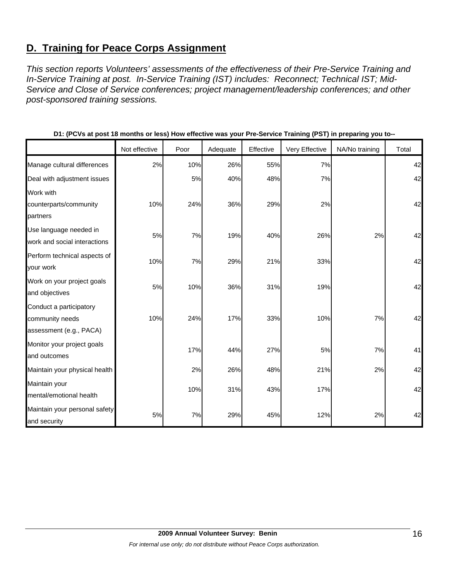# **D. Training for Peace Corps Assignment**

*This section reports Volunteers' assessments of the effectiveness of their Pre-Service Training and In-Service Training at post. In-Service Training (IST) includes: Reconnect; Technical IST; Mid-Service and Close of Service conferences; project management/leadership conferences; and other post-sponsored training sessions.* 

|                                                                       | Not effective | Poor | Adequate | Effective | Very Effective | NA/No training | Total |
|-----------------------------------------------------------------------|---------------|------|----------|-----------|----------------|----------------|-------|
| Manage cultural differences                                           | 2%            | 10%  | 26%      | 55%       | 7%             |                | 42    |
| Deal with adjustment issues                                           |               | 5%   | 40%      | 48%       | 7%             |                | 42    |
| Work with<br>counterparts/community<br>partners                       | 10%           | 24%  | 36%      | 29%       | 2%             |                | 42    |
| Use language needed in<br>work and social interactions                | 5%            | 7%   | 19%      | 40%       | 26%            | 2%             | 42    |
| Perform technical aspects of<br>your work                             | 10%           | 7%   | 29%      | 21%       | 33%            |                | 42    |
| Work on your project goals<br>and objectives                          | 5%            | 10%  | 36%      | 31%       | 19%            |                | 42    |
| Conduct a participatory<br>community needs<br>assessment (e.g., PACA) | 10%           | 24%  | 17%      | 33%       | 10%            | 7%             | 42    |
| Monitor your project goals<br>and outcomes                            |               | 17%  | 44%      | 27%       | 5%             | 7%             | 41    |
| Maintain your physical health                                         |               | 2%   | 26%      | 48%       | 21%            | 2%             | 42    |
| Maintain your<br>mental/emotional health                              |               | 10%  | 31%      | 43%       | 17%            |                | 42    |
| Maintain your personal safety<br>and security                         | 5%            | 7%   | 29%      | 45%       | 12%            | 2%             | 42    |

#### **D1: (PCVs at post 18 months or less) How effective was your Pre-Service Training (PST) in preparing you to--**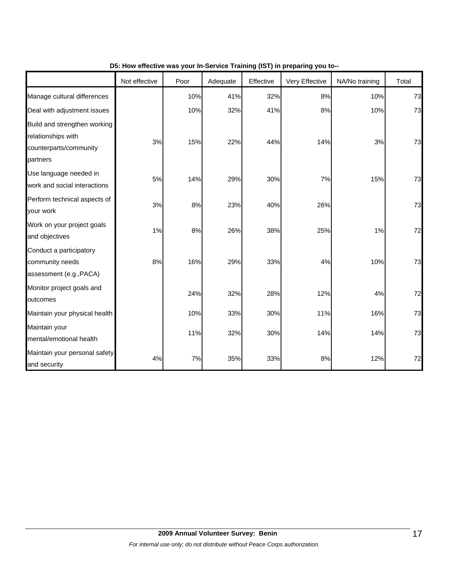|                                                                                          | Not effective | Poor | Adequate | Effective | Very Effective | NA/No training | Total |
|------------------------------------------------------------------------------------------|---------------|------|----------|-----------|----------------|----------------|-------|
| Manage cultural differences                                                              |               | 10%  | 41%      | 32%       | 8%             | 10%            | 73    |
| Deal with adjustment issues                                                              |               | 10%  | 32%      | 41%       | 8%             | 10%            | 73    |
| Build and strengthen working<br>relationships with<br>counterparts/community<br>partners | 3%            | 15%  | 22%      | 44%       | 14%            | 3%             | 73    |
| Use language needed in<br>work and social interactions                                   | 5%            | 14%  | 29%      | 30%       | 7%             | 15%            | 73    |
| Perform technical aspects of<br>your work                                                | 3%            | 8%   | 23%      | 40%       | 26%            |                | 73    |
| Work on your project goals<br>and objectives                                             | 1%            | 8%   | 26%      | 38%       | 25%            | 1%             | 72    |
| Conduct a participatory<br>community needs<br>assessment (e.g., PACA)                    | 8%            | 16%  | 29%      | 33%       | 4%             | 10%            | 73    |
| Monitor project goals and<br>outcomes                                                    |               | 24%  | 32%      | 28%       | 12%            | 4%             | 72    |
| Maintain your physical health                                                            |               | 10%  | 33%      | 30%       | 11%            | 16%            | 73    |
| Maintain your<br>mental/emotional health                                                 |               | 11%  | 32%      | 30%       | 14%            | 14%            | 73    |
| Maintain your personal safety<br>and security                                            | 4%            | 7%   | 35%      | 33%       | 8%             | 12%            | 72    |

#### **D5: How effective was your In-Service Training (IST) in preparing you to--**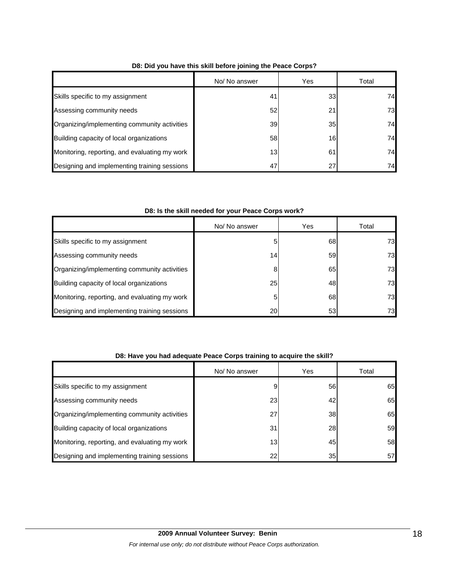|                                               | No/ No answer   | Yes | Total |
|-----------------------------------------------|-----------------|-----|-------|
| Skills specific to my assignment              | 41              | 33  | 74    |
| Assessing community needs                     | 52              | 21  | 73    |
| Organizing/implementing community activities  | 39              | 35  | 74    |
| Building capacity of local organizations      | 58              | 16  | 74    |
| Monitoring, reporting, and evaluating my work | 13 <sub>1</sub> | 61  | 74    |
| Designing and implementing training sessions  | 47              | 27  | 74    |

#### **D8: Did you have this skill before joining the Peace Corps?**

#### **D8: Is the skill needed for your Peace Corps work?**

|                                               | No/ No answer | Yes | Total |
|-----------------------------------------------|---------------|-----|-------|
| Skills specific to my assignment              | 5             | 68  | 73    |
| Assessing community needs                     | 14            | 59  | 73    |
| Organizing/implementing community activities  | 8             | 65  | 73    |
| Building capacity of local organizations      | 25            | 48  | 73    |
| Monitoring, reporting, and evaluating my work | 5             | 68  | 73    |
| Designing and implementing training sessions  | 20            | 53  | 73    |

#### **D8: Have you had adequate Peace Corps training to acquire the skill?**

|                                               | No/ No answer | Yes | Total |
|-----------------------------------------------|---------------|-----|-------|
| Skills specific to my assignment              |               | 56  | 65    |
| Assessing community needs                     | 23            | 42  | 65    |
| Organizing/implementing community activities  | 27            | 38  | 65    |
| Building capacity of local organizations      | 31            | 28  | 59    |
| Monitoring, reporting, and evaluating my work | 13            | 45  | 58    |
| Designing and implementing training sessions  | 22            | 35  | 57    |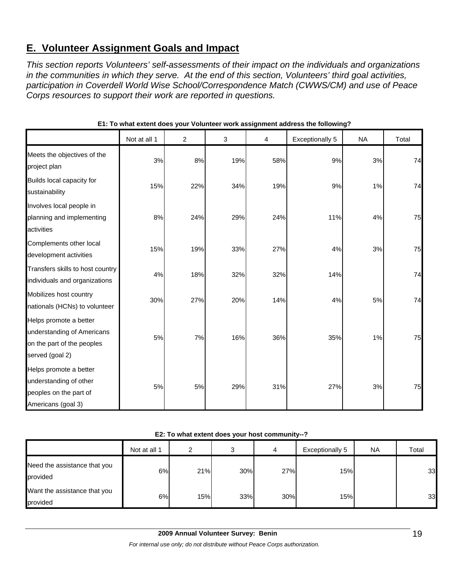# **E. Volunteer Assignment Goals and Impact**

*This section reports Volunteers' self-assessments of their impact on the individuals and organizations in the communities in which they serve. At the end of this section, Volunteers' third goal activities, participation in Coverdell World Wise School/Correspondence Match (CWWS/CM) and use of Peace Corps resources to support their work are reported in questions.* 

|                                                                                                       | Not at all 1 | $\overline{c}$ | 3   | 4   | Exceptionally 5 | <b>NA</b> | Total |
|-------------------------------------------------------------------------------------------------------|--------------|----------------|-----|-----|-----------------|-----------|-------|
| Meets the objectives of the<br>project plan                                                           | 3%           | 8%             | 19% | 58% | 9%              | 3%        | 74    |
| Builds local capacity for<br>sustainability                                                           | 15%          | 22%            | 34% | 19% | 9%              | 1%        | 74    |
| Involves local people in<br>planning and implementing<br>activities                                   | 8%           | 24%            | 29% | 24% | 11%             | 4%        | 75    |
| Complements other local<br>development activities                                                     | 15%          | 19%            | 33% | 27% | 4%              | 3%        | 75    |
| Transfers skills to host country<br>individuals and organizations                                     | 4%           | 18%            | 32% | 32% | 14%             |           | 74    |
| Mobilizes host country<br>nationals (HCNs) to volunteer                                               | 30%          | 27%            | 20% | 14% | 4%              | 5%        | 74    |
| Helps promote a better<br>understanding of Americans<br>on the part of the peoples<br>served (goal 2) | 5%           | 7%             | 16% | 36% | 35%             | 1%        | 75    |
| Helps promote a better<br>understanding of other<br>peoples on the part of<br>Americans (goal 3)      | 5%           | 5%             | 29% | 31% | 27%             | 3%        | 75    |

**E1: To what extent does your Volunteer work assignment address the following?**

|  | E2: To what extent does your host community--? |
|--|------------------------------------------------|
|--|------------------------------------------------|

|                                          | Not at all 1 | ົ   |     | 4   | Exceptionally 5 | NA | Total |
|------------------------------------------|--------------|-----|-----|-----|-----------------|----|-------|
| Need the assistance that you<br>provided | 6%           | 21% | 30% | 27% | 15%             |    | 33    |
| Want the assistance that you<br>provided | 6%           | 15% | 33% | 30% | 15%             |    | 33    |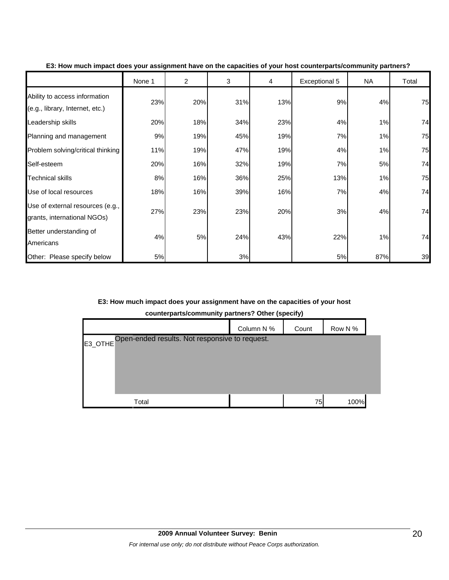|                                                                  | None 1 | $\overline{c}$ | 3   | 4   | Exceptional 5 | <b>NA</b> | Total |
|------------------------------------------------------------------|--------|----------------|-----|-----|---------------|-----------|-------|
| Ability to access information<br>(e.g., library, Internet, etc.) | 23%    | 20%            | 31% | 13% | 9%            | 4%        | 75    |
| Leadership skills                                                | 20%    | 18%            | 34% | 23% | 4%            | 1%        | 74    |
| Planning and management                                          | 9%     | 19%            | 45% | 19% | 7%            | 1%        | 75    |
| Problem solving/critical thinking                                | 11%    | 19%            | 47% | 19% | 4%            | 1%        | 75    |
| Self-esteem                                                      | 20%    | 16%            | 32% | 19% | 7%            | 5%        | 74    |
| <b>Technical skills</b>                                          | 8%     | 16%            | 36% | 25% | 13%           | 1%        | 75    |
| Use of local resources                                           | 18%    | 16%            | 39% | 16% | 7%            | 4%        | 74    |
| Use of external resources (e.g.,<br>grants, international NGOs)  | 27%    | 23%            | 23% | 20% | 3%            | 4%        | 74    |
| Better understanding of<br>Americans                             | 4%     | 5%             | 24% | 43% | 22%           | 1%        | 74    |
| Other: Please specify below                                      | 5%     |                | 3%  |     | 5%            | 87%       | 39    |

#### **E3: How much impact does your assignment have on the capacities of your host counterparts/community partners?**

#### **E3: How much impact does your assignment have on the capacities of your host**

**counterparts/community partners? Other (specify)**

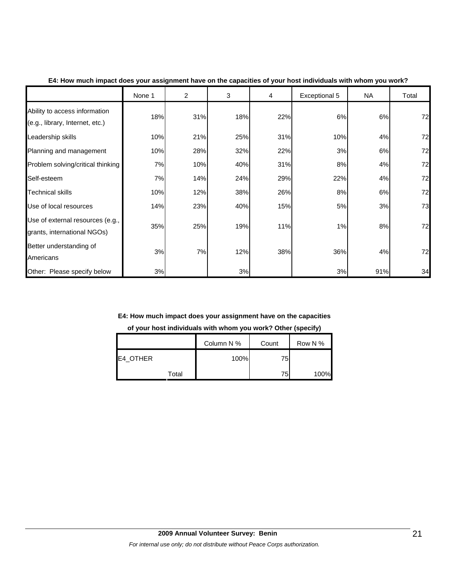|                                                                  | None 1 | $\overline{2}$ | 3   | 4   | Exceptional 5 | <b>NA</b> | Total |
|------------------------------------------------------------------|--------|----------------|-----|-----|---------------|-----------|-------|
| Ability to access information<br>(e.g., library, Internet, etc.) | 18%    | 31%            | 18% | 22% | 6%            | 6%        | 72    |
| Leadership skills                                                | 10%    | 21%            | 25% | 31% | 10%           | 4%        | 72    |
| Planning and management                                          | 10%    | 28%            | 32% | 22% | 3%            | 6%        | 72    |
| Problem solving/critical thinking                                | 7%     | 10%            | 40% | 31% | 8%            | 4%        | 72    |
| Self-esteem                                                      | 7%     | 14%            | 24% | 29% | 22%           | 4%        | 72    |
| <b>Technical skills</b>                                          | 10%    | 12%            | 38% | 26% | 8%            | 6%        | 72    |
| Use of local resources                                           | 14%    | 23%            | 40% | 15% | 5%            | 3%        | 73    |
| Use of external resources (e.g.,<br>grants, international NGOs)  | 35%    | 25%            | 19% | 11% | 1%            | 8%        | 72    |
| Better understanding of<br>Americans                             | 3%     | 7%             | 12% | 38% | 36%           | 4%        | 72    |
| Other: Please specify below                                      | 3%     |                | 3%  |     | 3%            | 91%       | 34    |

#### **E4: How much impact does your assignment have on the capacities of your host individuals with whom you work?**

# **E4: How much impact does your assignment have on the capacities**

# **of your host individuals with whom you work? Other (specify)**

|          | Column N % | Count | Row N % |
|----------|------------|-------|---------|
| E4_OTHER | 100%       | 75    |         |
| Total    |            | 75    | 100%    |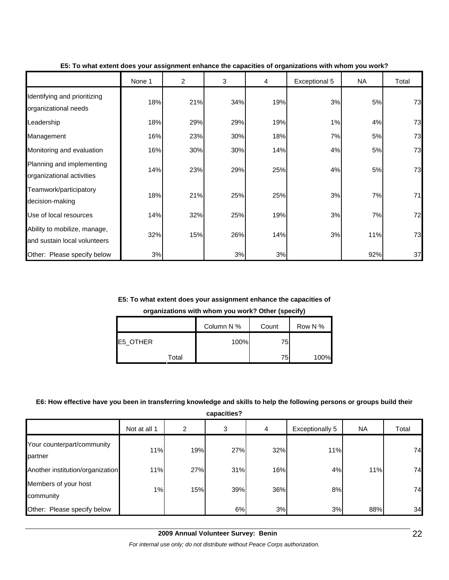|                                                              | None 1 | 2   | 3   | 4   | Exceptional 5 | <b>NA</b> | Total |
|--------------------------------------------------------------|--------|-----|-----|-----|---------------|-----------|-------|
| Identifying and prioritizing<br>organizational needs         | 18%    | 21% | 34% | 19% | 3%            | 5%        | 73    |
| Leadership                                                   | 18%    | 29% | 29% | 19% | 1%            | 4%        | 73    |
| Management                                                   | 16%    | 23% | 30% | 18% | 7%            | 5%        | 73    |
| Monitoring and evaluation                                    | 16%    | 30% | 30% | 14% | 4%            | 5%        | 73    |
| Planning and implementing<br>organizational activities       | 14%    | 23% | 29% | 25% | 4%            | 5%        | 73    |
| Teamwork/participatory<br>decision-making                    | 18%    | 21% | 25% | 25% | 3%            | 7%        | 71    |
| Use of local resources                                       | 14%    | 32% | 25% | 19% | 3%            | 7%        | 72    |
| Ability to mobilize, manage,<br>and sustain local volunteers | 32%    | 15% | 26% | 14% | 3%            | 11%       | 73    |
| Other: Please specify below                                  | 3%     |     | 3%  | 3%  |               | 92%       | 37    |

**E5: To what extent does your assignment enhance the capacities of organizations with whom you work?**

#### **E5: To what extent does your assignment enhance the capacities of**

**organizations with whom you work? Other (specify)**

|          | Column N % | Count | Row N % |
|----------|------------|-------|---------|
| E5_OTHER | 100%       | 75    |         |
| Total    |            | 75    | 100%    |

#### **E6: How effective have you been in transferring knowledge and skills to help the following persons or groups build their**

**capacities?**

|                                       | Not at all 1 | 2   | 3   | 4   | Exceptionally 5 | <b>NA</b> | Total |
|---------------------------------------|--------------|-----|-----|-----|-----------------|-----------|-------|
| Your counterpart/community<br>partner | 11%          | 19% | 27% | 32% | 11%             |           | 74    |
| Another institution/organization      | 11%          | 27% | 31% | 16% | 4%              | 11%       | 74    |
| Members of your host<br>community     | 1%           | 15% | 39% | 36% | 8%              |           | 74    |
| Other: Please specify below           |              |     | 6%  | 3%  | 3%              | 88%       | 34    |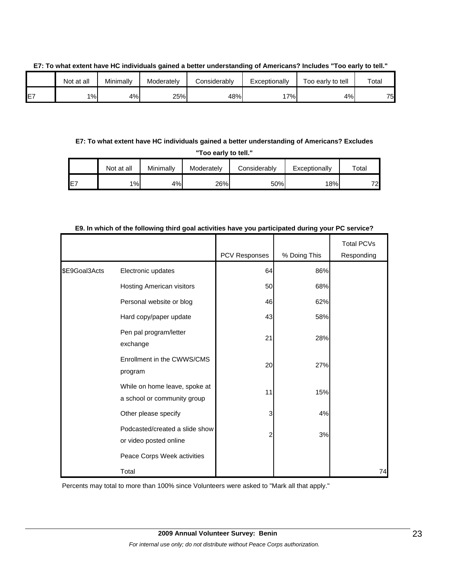|    | Not at all | Minimally | Moderately | Considerably | Exceptionally | Too early to tell | Total |  |
|----|------------|-----------|------------|--------------|---------------|-------------------|-------|--|
| F7 | 1%         | 4%        | 25%        | 48%          | $7\%$         | 4%                | 75    |  |

**E7: To what extent have HC individuals gained a better understanding of Americans? Includes "Too early to tell."**

**E7: To what extent have HC individuals gained a better understanding of Americans? Excludes "Too early to tell."**

|     | Not at all | Minimally | Moderately | Considerably | Exceptionally | $\tau$ otal |
|-----|------------|-----------|------------|--------------|---------------|-------------|
| IE. | 1%         | 4%        | 26%        | 50%          | 18%           | 72          |

|               |                                                              |               |              | <b>Total PCVs</b> |
|---------------|--------------------------------------------------------------|---------------|--------------|-------------------|
|               |                                                              | PCV Responses | % Doing This | Responding        |
| \$E9Goal3Acts | Electronic updates                                           | 64            | 86%          |                   |
|               | Hosting American visitors                                    | 50            | 68%          |                   |
|               | Personal website or blog                                     | 46            | 62%          |                   |
|               | Hard copy/paper update                                       | 43            | 58%          |                   |
|               | Pen pal program/letter<br>exchange                           | 21            | 28%          |                   |
|               | Enrollment in the CWWS/CMS<br>program                        | 20            | 27%          |                   |
|               | While on home leave, spoke at<br>a school or community group | 11            | 15%          |                   |
|               | Other please specify                                         | 3             | 4%           |                   |
|               | Podcasted/created a slide show<br>or video posted online     |               | 3%           |                   |
|               | Peace Corps Week activities                                  |               |              |                   |
|               | Total                                                        |               |              | 74                |

**E9. In which of the following third goal activities have you participated during your PC service?**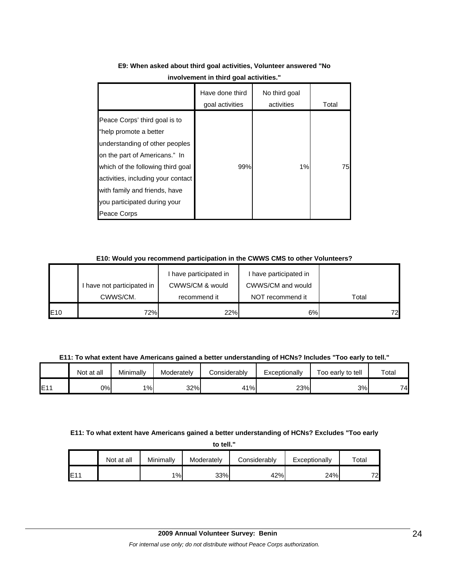|                                                                                                                                                                                                                                                                                       | Have done third<br>goal activities | No third goal<br>activities | Total |
|---------------------------------------------------------------------------------------------------------------------------------------------------------------------------------------------------------------------------------------------------------------------------------------|------------------------------------|-----------------------------|-------|
| Peace Corps' third goal is to<br>"help promote a better<br>understanding of other peoples<br>on the part of Americans." In<br>which of the following third goal<br>activities, including your contact<br>with family and friends, have<br>you participated during your<br>Peace Corps | 99%                                | 1%                          | 75    |

## **E9: When asked about third goal activities, Volunteer answered "No involvement in third goal activities."**

#### **E10: Would you recommend participation in the CWWS CMS to other Volunteers?**

|     |                            | I have participated in | have participated in |       |
|-----|----------------------------|------------------------|----------------------|-------|
|     | I have not participated in | CWWS/CM & would        | CWWS/CM and would    |       |
|     | CWWS/CM.                   | recommend it           | NOT recommend it     | Total |
| E10 | 72%                        | 22%                    | 6%                   | 721   |

**E11: To what extent have Americans gained a better understanding of HCNs? Includes "Too early to tell."**

|     | Not at all | Minimally | Moderately | Considerablv | Exceptionally | Too early to tell | Total |
|-----|------------|-----------|------------|--------------|---------------|-------------------|-------|
| E11 | 0%I        | 1%        | 32%        | 41%          | 23%           | 3%                | 74    |

#### **E11: To what extent have Americans gained a better understanding of HCNs? Excludes "Too early**

**to tell."**

|     | Not at all | Minimallv | Moderately | Considerably | Exceptionally | $\tau$ otal |
|-----|------------|-----------|------------|--------------|---------------|-------------|
| E11 |            | $1\%$     | 33%        | 42%          | 24%           | 72          |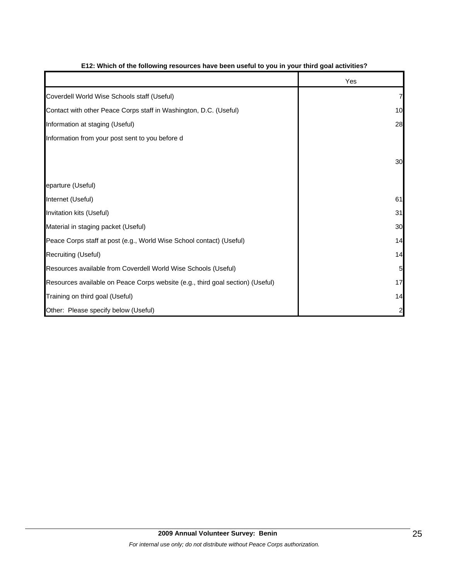|                                                                                | Yes |
|--------------------------------------------------------------------------------|-----|
| Coverdell World Wise Schools staff (Useful)                                    | 7   |
| Contact with other Peace Corps staff in Washington, D.C. (Useful)              | 10  |
| Information at staging (Useful)                                                | 28  |
| Information from your post sent to you before d                                |     |
|                                                                                | 30  |
| eparture (Useful)                                                              |     |
| Internet (Useful)                                                              | 61  |
| Invitation kits (Useful)                                                       | 31  |
| Material in staging packet (Useful)                                            | 30  |
| Peace Corps staff at post (e.g., World Wise School contact) (Useful)           | 14  |
| Recruiting (Useful)                                                            | 14  |
| Resources available from Coverdell World Wise Schools (Useful)                 | 5   |
| Resources available on Peace Corps website (e.g., third goal section) (Useful) | 17  |
| Training on third goal (Useful)                                                | 14  |
| Other: Please specify below (Useful)                                           | 2   |

#### **E12: Which of the following resources have been useful to you in your third goal activities?**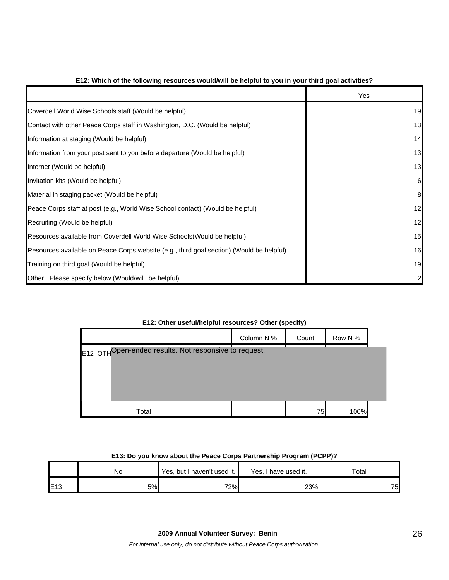|                                                                                          | Yes |
|------------------------------------------------------------------------------------------|-----|
| Coverdell World Wise Schools staff (Would be helpful)                                    | 19  |
| Contact with other Peace Corps staff in Washington, D.C. (Would be helpful)              | 13  |
| Information at staging (Would be helpful)                                                | 14  |
| Information from your post sent to you before departure (Would be helpful)               | 13  |
| Internet (Would be helpful)                                                              | 13  |
| Invitation kits (Would be helpful)                                                       | 61  |
| Material in staging packet (Would be helpful)                                            | 8   |
| Peace Corps staff at post (e.g., World Wise School contact) (Would be helpful)           | 12  |
| Recruiting (Would be helpful)                                                            | 12  |
| Resources available from Coverdell World Wise Schools (Would be helpful)                 | 15  |
| Resources available on Peace Corps website (e.g., third goal section) (Would be helpful) | 16  |
| Training on third goal (Would be helpful)                                                | 19  |
| Other: Please specify below (Would/will be helpful)                                      |     |

#### **E12: Which of the following resources would/will be helpful to you in your third goal activities?**

| E12: Other useful/helpful resources? Other (specify) |  |
|------------------------------------------------------|--|
|------------------------------------------------------|--|

|                                                       | Column N % | Count | Row N % |  |
|-------------------------------------------------------|------------|-------|---------|--|
| E12_OTHOpen-ended results. Not responsive to request. |            |       |         |  |
|                                                       |            |       |         |  |
|                                                       |            |       |         |  |
| Total                                                 |            | 75    | 100%    |  |

#### **E13: Do you know about the Peace Corps Partnership Program (PCPP)?**

|     | Νo | Yes, but I haven't used it. | Yes, I have used it. | Total |
|-----|----|-----------------------------|----------------------|-------|
| E13 | 5% | 72%                         | 23%                  | 75    |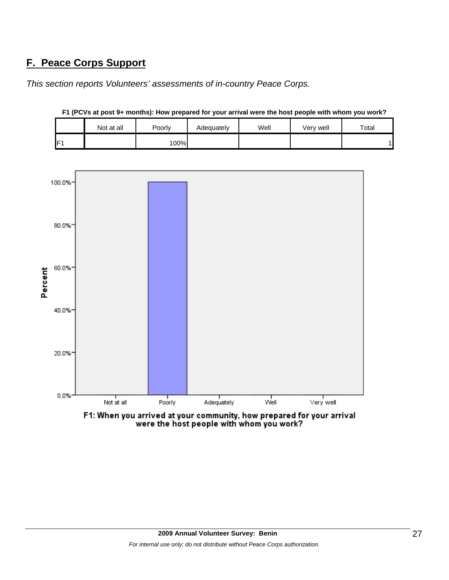# **F. Peace Corps Support**

*This section reports Volunteers' assessments of in-country Peace Corps.* 





**F1 (PCVs at post 9+ months): How prepared for your arrival were the host people with whom you work?**

F1: When you arrived at your community, how prepared for your arrival were the host people with whom you work?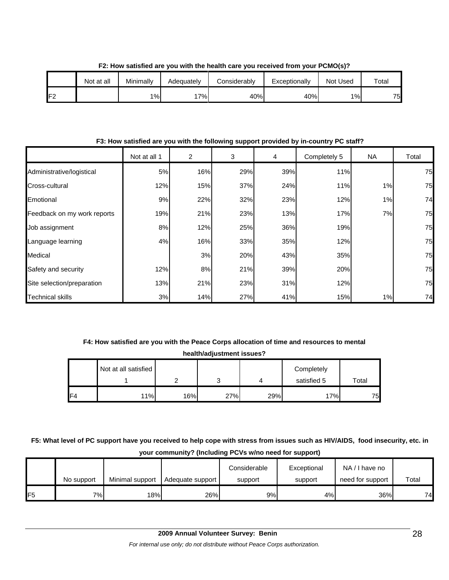|     | Not at all | Minimally | Adequatelv | Considerably | Exceptionally | <b>Not Used</b> | $\tau$ otal |
|-----|------------|-----------|------------|--------------|---------------|-----------------|-------------|
| IF2 |            | 1%        | $7\%$      | 40%          | 40%           | $1\%$           | 75          |

**F2: How satisfied are you with the health care you received from your PCMO(s)?**

**F3: How satisfied are you with the following support provided by in-country PC staff?**

|                             | Not at all 1 | $\overline{2}$ | 3   | $\overline{4}$ | Completely 5 | NA.   | Total |
|-----------------------------|--------------|----------------|-----|----------------|--------------|-------|-------|
| Administrative/logistical   | 5%           | 16%            | 29% | 39%            | 11%          |       | 75    |
| Cross-cultural              | 12%          | 15%            | 37% | 24%            | 11%          | 1%    | 75    |
| Emotional                   | 9%           | 22%            | 32% | 23%            | 12%          | 1%    | 74    |
| Feedback on my work reports | 19%          | 21%            | 23% | 13%            | 17%          | 7%    | 75    |
| Job assignment              | 8%           | 12%            | 25% | 36%            | 19%          |       | 75    |
| Language learning           | 4%           | 16%            | 33% | 35%            | 12%          |       | 75    |
| Medical                     |              | 3%             | 20% | 43%            | 35%          |       | 75    |
| Safety and security         | 12%          | 8%             | 21% | 39%            | 20%          |       | 75    |
| Site selection/preparation  | 13%          | 21%            | 23% | 31%            | 12%          |       | 75    |
| <b>Technical skills</b>     | 3%           | 14%            | 27% | 41%            | 15%          | $1\%$ | 74    |

# **F4: How satisfied are you with the Peace Corps allocation of time and resources to mental**

**health/adjustment issues?**

|     | Not at all satisfied |     |        |     | Completely  |             |
|-----|----------------------|-----|--------|-----|-------------|-------------|
|     |                      |     | ◠<br>J |     | satisfied 5 | $\tau$ otal |
| IF4 | 11%                  | 16% | 27%    | 29% | 17%         | 75          |

**F5: What level of PC support have you received to help cope with stress from issues such as HIV/AIDS, food insecurity, etc. in your community? (Including PCVs w/no need for support)**

|                 | No support | Minimal support | Adequate support | Considerable<br>support | Exceptional<br>support | NA/I have no<br>need for support | Total |
|-----------------|------------|-----------------|------------------|-------------------------|------------------------|----------------------------------|-------|
| IF <sub>5</sub> | 7%I        | 18%l            | 26%              | 9%                      | 4%                     | 36%                              | 74    |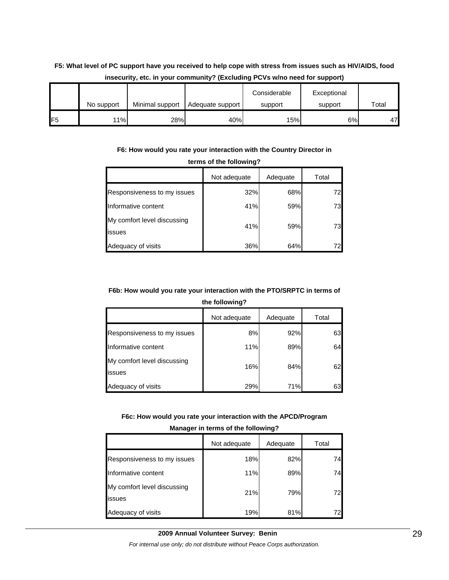# **F5: What level of PC support have you received to help cope with stress from issues such as HIV/AIDS, food insecurity, etc. in your community? (Excluding PCVs w/no need for support)**

|                 |            |                 |                  | Considerable | Exceptional |       |
|-----------------|------------|-----------------|------------------|--------------|-------------|-------|
|                 | No support | Minimal support | Adequate support | support      | support     | Total |
| IF <sub>5</sub> | 11%        | 28%             | 40%              | 15%          | 6%          | 47    |

#### **F6: How would you rate your interaction with the Country Director in**

| <b>UCTING OF THE TURNALLY ST</b>      |              |          |       |  |  |  |  |
|---------------------------------------|--------------|----------|-------|--|--|--|--|
|                                       | Not adequate | Adequate | Total |  |  |  |  |
| Responsiveness to my issues           | 32%          | 68%      | 72    |  |  |  |  |
| Informative content                   | 41%          | 59%      | 73    |  |  |  |  |
| My comfort level discussing<br>issues | 41%          | 59%      | 73    |  |  |  |  |
| Adequacy of visits                    | 36%          | 64%      |       |  |  |  |  |

#### **terms of the following?**

## **F6b: How would you rate your interaction with the PTO/SRPTC in terms of**

**the following?**

|                                       | Not adequate | Adequate | Total |
|---------------------------------------|--------------|----------|-------|
| Responsiveness to my issues           | 8%           | 92%      | 63    |
| Informative content                   | 11%          | 89%      | 64    |
| My comfort level discussing<br>issues | 16%          | 84%      | 62    |
| Adequacy of visits                    | 29%          | 71%      | 63    |

#### **F6c: How would you rate your interaction with the APCD/Program**

| Manager in terms of the following?    |     |     |     |  |  |  |
|---------------------------------------|-----|-----|-----|--|--|--|
| Not adequate<br>Adequate<br>Total     |     |     |     |  |  |  |
| Responsiveness to my issues           | 18% | 82% | 74  |  |  |  |
| Informative content                   | 11% | 89% | 74  |  |  |  |
| My comfort level discussing<br>issues | 21% | 79% | 721 |  |  |  |
| Adequacy of visits                    | 19% | 81% |     |  |  |  |

## **Manager in terms of the following?**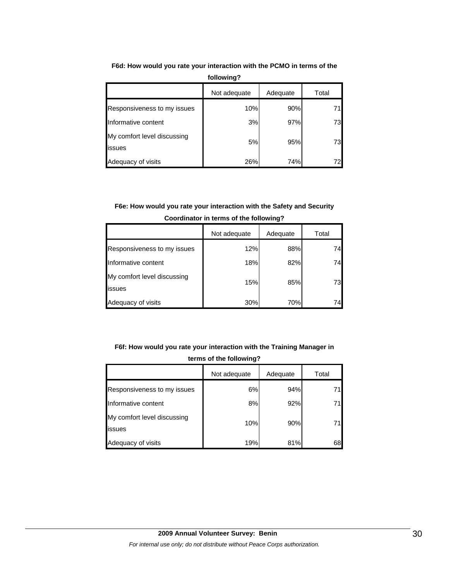|                                       | Not adequate | Adequate | Total |
|---------------------------------------|--------------|----------|-------|
| Responsiveness to my issues           | 10%          | 90%      |       |
| Informative content                   | 3%           | 97%      | 73    |
| My comfort level discussing<br>issues | 5%           | 95%      | 73    |
| Adequacy of visits                    | 26%          | 74%      |       |

**F6d: How would you rate your interaction with the PCMO in terms of the following?**

# **F6e: How would you rate your interaction with the Safety and Security Coordinator in terms of the following?**

|                                       | Not adequate | Adequate | Total |
|---------------------------------------|--------------|----------|-------|
| Responsiveness to my issues           | 12%          | 88%      | 74    |
| Informative content                   | 18%          | 82%      | 74    |
| My comfort level discussing<br>issues | 15%          | 85%      | 73    |
| Adequacy of visits                    | 30%          | 70%      | 74    |

# **F6f: How would you rate your interaction with the Training Manager in terms of the following?**

|                                       | Not adequate | Adequate | Total |
|---------------------------------------|--------------|----------|-------|
| Responsiveness to my issues           | 6%           | 94%      |       |
| Informative content                   | 8%           | 92%      |       |
| My comfort level discussing<br>issues | 10%          | 90%      |       |
| Adequacy of visits                    | 19%          | 81%      | 68    |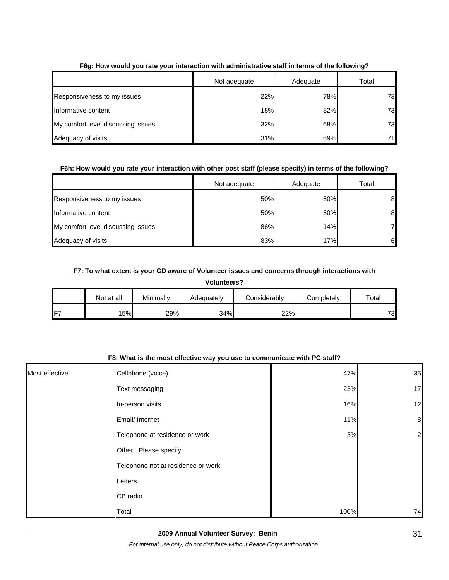|                                    | Not adequate | Adequate | Total |
|------------------------------------|--------------|----------|-------|
| Responsiveness to my issues        | 22%          | 78%      | 73    |
| Informative content                | 18%          | 82%      | 73    |
| My comfort level discussing issues | 32%          | 68%      | 73    |
| Adequacy of visits                 | 31%          | 69%      | 71    |

#### **F6g: How would you rate your interaction with administrative staff in terms of the following?**

#### **F6h: How would you rate your interaction with other post staff (please specify) in terms of the following?**

|                                    | Not adequate | Adequate | Total |
|------------------------------------|--------------|----------|-------|
| Responsiveness to my issues        | 50%          | 50%      | 8     |
| Informative content                | 50%          | 50%      | 8     |
| My comfort level discussing issues | 86%          | 14%      | 7     |
| Adequacy of visits                 | 83%          | 17%      | 6     |

#### **F7: To what extent is your CD aware of Volunteer issues and concerns through interactions with**

|                                                                              | <b>Volunteers?</b> |     |     |     |  |    |  |
|------------------------------------------------------------------------------|--------------------|-----|-----|-----|--|----|--|
| Minimally<br>Considerably<br>Not at all<br>Total<br>Completely<br>Adequately |                    |     |     |     |  |    |  |
| F7                                                                           | 15%                | 29% | 34% | 22% |  | 73 |  |

#### **F8: What is the most effective way you use to communicate with PC staff?**

| Most effective | Cellphone (voice)                  | 47%  | 35               |
|----------------|------------------------------------|------|------------------|
|                | Text messaging                     | 23%  | 17               |
|                | In-person visits                   | 16%  | 12               |
|                | Email/ Internet                    | 11%  | $\boldsymbol{8}$ |
|                | Telephone at residence or work     | 3%   | $\overline{c}$   |
|                | Other. Please specify              |      |                  |
|                | Telephone not at residence or work |      |                  |
|                | Letters                            |      |                  |
|                | CB radio                           |      |                  |
|                | Total                              | 100% | 74               |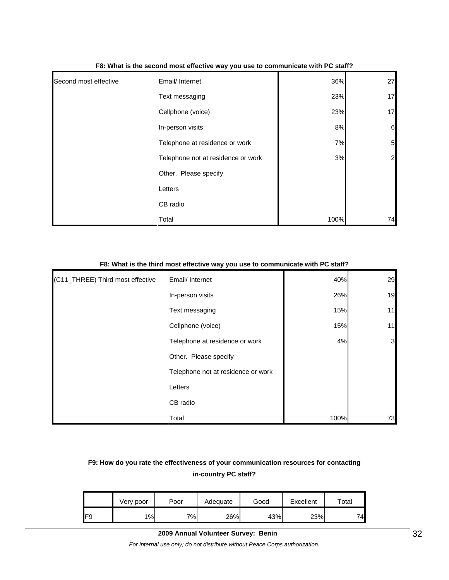| Second most effective | Email/ Internet                    | 36%  | 27             |
|-----------------------|------------------------------------|------|----------------|
|                       | Text messaging                     | 23%  | 17             |
|                       | Cellphone (voice)                  | 23%  | 17             |
|                       | In-person visits                   | 8%   | 6              |
|                       | Telephone at residence or work     | 7%   | $\overline{5}$ |
|                       | Telephone not at residence or work | 3%   | $\overline{a}$ |
|                       | Other. Please specify              |      |                |
|                       | Letters                            |      |                |
|                       | CB radio                           |      |                |
|                       | Total                              | 100% | 74             |

#### **F8: What is the second most effective way you use to communicate with PC staff?**

#### **F8: What is the third most effective way you use to communicate with PC staff?**

| (C11_THREE) Third most effective | Email/ Internet                    | 40%  | 29 |
|----------------------------------|------------------------------------|------|----|
|                                  | In-person visits                   | 26%  | 19 |
|                                  | Text messaging                     | 15%  | 11 |
|                                  | Cellphone (voice)                  | 15%  | 11 |
|                                  | Telephone at residence or work     | 4%   | 3  |
|                                  | Other. Please specify              |      |    |
|                                  | Telephone not at residence or work |      |    |
|                                  | Letters                            |      |    |
|                                  | CB radio                           |      |    |
|                                  | Total                              | 100% | 73 |

# **F9: How do you rate the effectiveness of your communication resources for contacting in-country PC staff?**

|     | Very poor | Poor | Adeauate | Good | Excellent | Total |
|-----|-----------|------|----------|------|-----------|-------|
| IF9 | 1%        | 7%   | 26%      | 43%  | 23%       | 74    |

#### **2009 Annual Volunteer Survey: Benin**

*For internal use only; do not distribute without Peace Corps authorization.*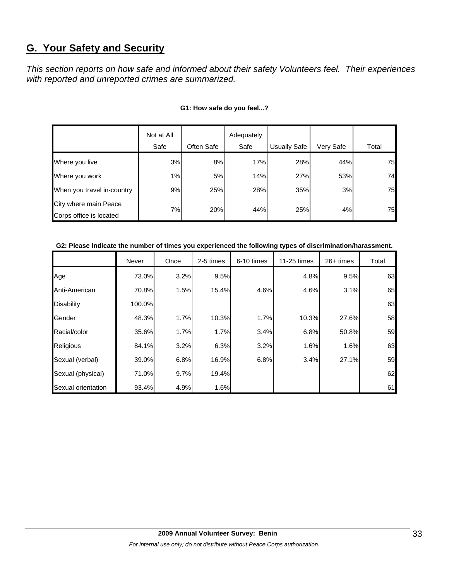# **G. Your Safety and Security**

*This section reports on how safe and informed about their safety Volunteers feel. Their experiences with reported and unreported crimes are summarized.* 

|                            | Not at All |            | Adequately |                     |           |       |
|----------------------------|------------|------------|------------|---------------------|-----------|-------|
|                            | Safe       | Often Safe | Safe       | <b>Usually Safe</b> | Very Safe | Total |
| Where you live             | 3%         | 8%         | 17%        | 28%                 | 44%       | 75    |
| Where you work             | 1%         | 5%         | 14%        | 27%                 | 53%       | 74    |
| When you travel in-country | 9%         | 25%        | 28%        | 35%                 | 3%        | 75    |
| City where main Peace      | 7%         | 20%        | 44%        | 25%                 | 4%        | 75    |
| Corps office is located    |            |            |            |                     |           |       |

#### **G1: How safe do you feel...?**

#### **G2: Please indicate the number of times you experienced the following types of discrimination/harassment.**

|                    | Never  | Once | 2-5 times | 6-10 times | 11-25 times | 26+ times | Total |
|--------------------|--------|------|-----------|------------|-------------|-----------|-------|
| Age                | 73.0%  | 3.2% | 9.5%      |            | 4.8%        | 9.5%      | 63    |
| Anti-American      | 70.8%  | 1.5% | 15.4%     | 4.6%       | 4.6%        | 3.1%      | 65    |
| <b>Disability</b>  | 100.0% |      |           |            |             |           | 63    |
| Gender             | 48.3%  | 1.7% | 10.3%     | 1.7%       | 10.3%       | 27.6%     | 58    |
| Racial/color       | 35.6%  | 1.7% | 1.7%      | 3.4%       | 6.8%        | 50.8%     | 59    |
| Religious          | 84.1%  | 3.2% | 6.3%      | 3.2%       | 1.6%        | 1.6%      | 63    |
| Sexual (verbal)    | 39.0%  | 6.8% | 16.9%     | 6.8%       | 3.4%        | 27.1%     | 59    |
| Sexual (physical)  | 71.0%  | 9.7% | 19.4%     |            |             |           | 62    |
| Sexual orientation | 93.4%  | 4.9% | 1.6%      |            |             |           | 61    |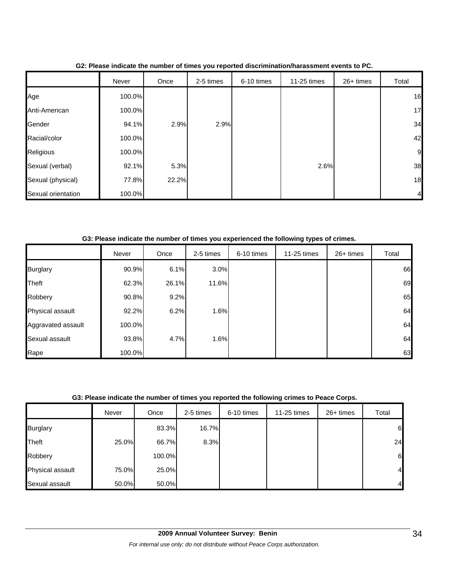|                    | Never  | Once  | 2-5 times | 6-10 times | 11-25 times | 26+ times | Total          |
|--------------------|--------|-------|-----------|------------|-------------|-----------|----------------|
| Age                | 100.0% |       |           |            |             |           | 16             |
| Anti-American      | 100.0% |       |           |            |             |           | 17             |
| Gender             | 94.1%  | 2.9%  | 2.9%      |            |             |           | 34             |
| Racial/color       | 100.0% |       |           |            |             |           | 42             |
| Religious          | 100.0% |       |           |            |             |           | 9              |
| Sexual (verbal)    | 92.1%  | 5.3%  |           |            | 2.6%        |           | 38             |
| Sexual (physical)  | 77.8%  | 22.2% |           |            |             |           | 18             |
| Sexual orientation | 100.0% |       |           |            |             |           | $\overline{4}$ |

**G2: Please indicate the number of times you reported discrimination/harassment events to PC.**

**G3: Please indicate the number of times you experienced the following types of crimes.**

|                    | Never  | Once  | 2-5 times | 6-10 times | 11-25 times | $26+$ times | Total |
|--------------------|--------|-------|-----------|------------|-------------|-------------|-------|
| <b>Burglary</b>    | 90.9%  | 6.1%  | 3.0%      |            |             |             | 66    |
| Theft              | 62.3%  | 26.1% | 11.6%     |            |             |             | 69    |
| Robbery            | 90.8%  | 9.2%  |           |            |             |             | 65    |
| Physical assault   | 92.2%  | 6.2%  | 1.6%      |            |             |             | 64    |
| Aggravated assault | 100.0% |       |           |            |             |             | 64    |
| Sexual assault     | 93.8%  | 4.7%  | 1.6%      |            |             |             | 64    |
| Rape               | 100.0% |       |           |            |             |             | 63    |

#### **G3: Please indicate the number of times you reported the following crimes to Peace Corps.**

|                  | Never | Once   | 2-5 times | 6-10 times | 11-25 times | 26+ times | Total          |
|------------------|-------|--------|-----------|------------|-------------|-----------|----------------|
| <b>Burglary</b>  |       | 83.3%  | 16.7%     |            |             |           | 6              |
| Theft            | 25.0% | 66.7%  | 8.3%      |            |             |           | 24             |
| Robbery          |       | 100.0% |           |            |             |           | 6              |
| Physical assault | 75.0% | 25.0%  |           |            |             |           | $\overline{4}$ |
| Sexual assault   | 50.0% | 50.0%  |           |            |             |           | $\overline{4}$ |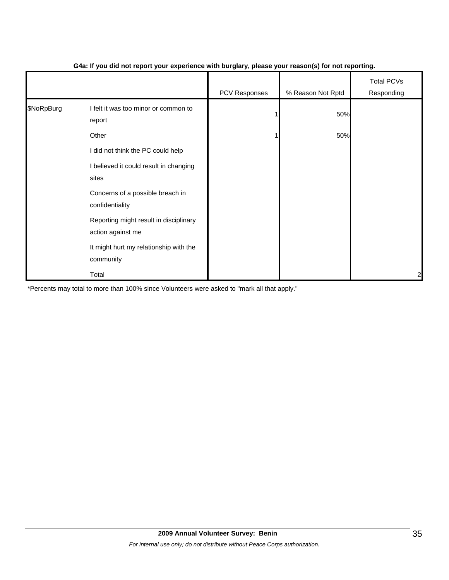|            |                                                             | PCV Responses | % Reason Not Rptd | <b>Total PCVs</b><br>Responding |
|------------|-------------------------------------------------------------|---------------|-------------------|---------------------------------|
| \$NoRpBurg | I felt it was too minor or common to<br>report              |               | 50%               |                                 |
|            | Other                                                       |               | 50%               |                                 |
|            | I did not think the PC could help                           |               |                   |                                 |
|            | I believed it could result in changing<br>sites             |               |                   |                                 |
|            | Concerns of a possible breach in<br>confidentiality         |               |                   |                                 |
|            | Reporting might result in disciplinary<br>action against me |               |                   |                                 |
|            | It might hurt my relationship with the<br>community         |               |                   |                                 |
|            | Total                                                       |               |                   | $\overline{c}$                  |

#### **G4a: If you did not report your experience with burglary, please your reason(s) for not reporting.**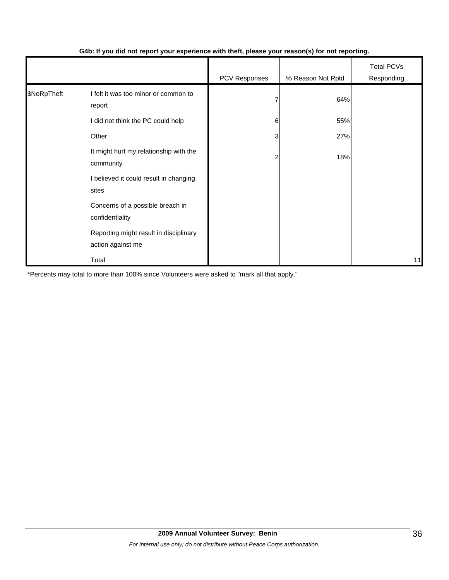|             |                                                             | PCV Responses | % Reason Not Rptd | <b>Total PCVs</b><br>Responding |
|-------------|-------------------------------------------------------------|---------------|-------------------|---------------------------------|
| \$NoRpTheft | I felt it was too minor or common to<br>report              |               | 64%               |                                 |
|             | I did not think the PC could help                           | 6             | 55%               |                                 |
|             | Other                                                       | 3             | 27%               |                                 |
|             | It might hurt my relationship with the<br>community         |               | 18%               |                                 |
|             | I believed it could result in changing<br>sites             |               |                   |                                 |
|             | Concerns of a possible breach in<br>confidentiality         |               |                   |                                 |
|             | Reporting might result in disciplinary<br>action against me |               |                   |                                 |
|             | Total                                                       |               |                   | 11                              |

#### **G4b: If you did not report your experience with theft, please your reason(s) for not reporting.**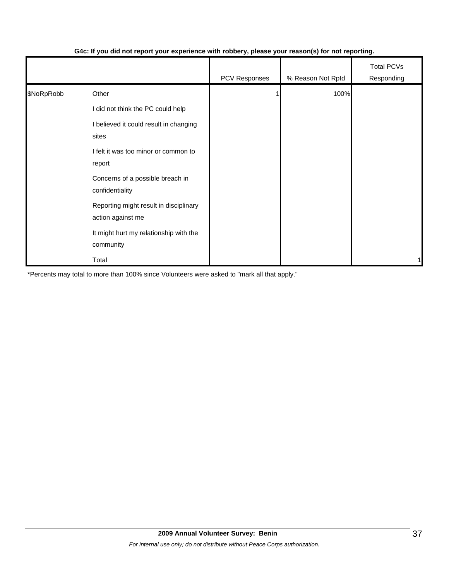|            |                                                             | .             | $\mathbf{v}$      |                                 |
|------------|-------------------------------------------------------------|---------------|-------------------|---------------------------------|
|            |                                                             | PCV Responses | % Reason Not Rptd | <b>Total PCVs</b><br>Responding |
| \$NoRpRobb | Other                                                       |               | 100%              |                                 |
|            | I did not think the PC could help                           |               |                   |                                 |
|            | I believed it could result in changing<br>sites             |               |                   |                                 |
|            | I felt it was too minor or common to<br>report              |               |                   |                                 |
|            | Concerns of a possible breach in<br>confidentiality         |               |                   |                                 |
|            | Reporting might result in disciplinary<br>action against me |               |                   |                                 |
|            | It might hurt my relationship with the<br>community         |               |                   |                                 |
|            | Total                                                       |               |                   | 1                               |

## **G4c: If you did not report your experience with robbery, please your reason(s) for not reporting.**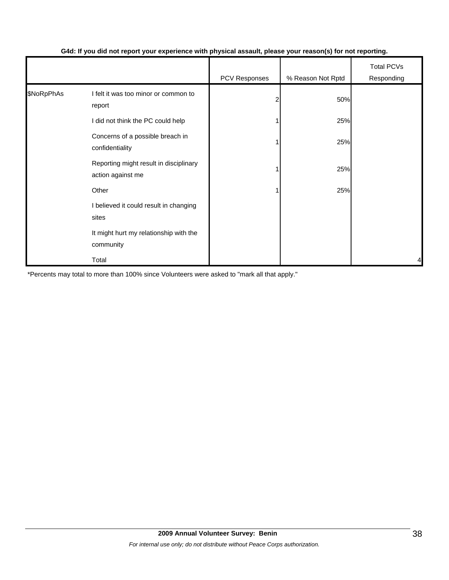|            |                                                             | PCV Responses | % Reason Not Rptd | <b>Total PCVs</b><br>Responding |
|------------|-------------------------------------------------------------|---------------|-------------------|---------------------------------|
| \$NoRpPhAs | I felt it was too minor or common to<br>report              | 2             | 50%               |                                 |
|            | I did not think the PC could help                           |               | 25%               |                                 |
|            | Concerns of a possible breach in<br>confidentiality         |               | 25%               |                                 |
|            | Reporting might result in disciplinary<br>action against me |               | 25%               |                                 |
|            | Other                                                       |               | 25%               |                                 |
|            | I believed it could result in changing<br>sites             |               |                   |                                 |
|            | It might hurt my relationship with the<br>community         |               |                   |                                 |
|            | Total                                                       |               |                   | 4                               |

#### **G4d: If you did not report your experience with physical assault, please your reason(s) for not reporting.**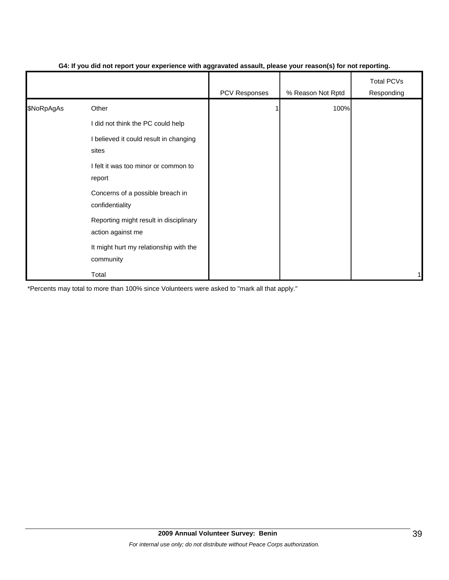|            |                                                             | PCV Responses | % Reason Not Rptd | <b>Total PCVs</b><br>Responding |
|------------|-------------------------------------------------------------|---------------|-------------------|---------------------------------|
| \$NoRpAgAs | Other                                                       |               | 100%              |                                 |
|            | I did not think the PC could help                           |               |                   |                                 |
|            | I believed it could result in changing<br>sites             |               |                   |                                 |
|            | I felt it was too minor or common to<br>report              |               |                   |                                 |
|            | Concerns of a possible breach in<br>confidentiality         |               |                   |                                 |
|            | Reporting might result in disciplinary<br>action against me |               |                   |                                 |
|            | It might hurt my relationship with the<br>community         |               |                   |                                 |
|            | Total                                                       |               |                   | 1                               |

#### **G4: If you did not report your experience with aggravated assault, please your reason(s) for not reporting.**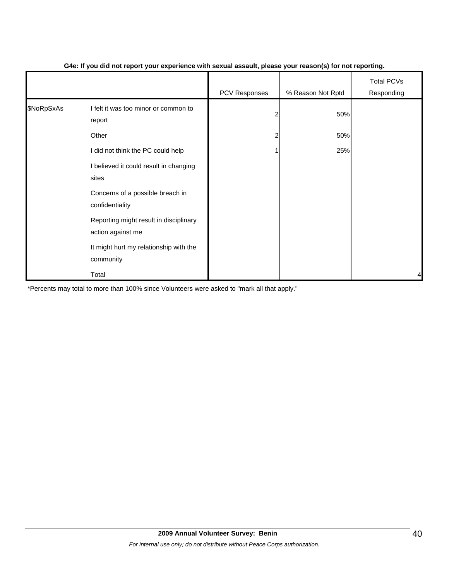|            |                                                             |                | $\mathbf{v}$      |                                 |
|------------|-------------------------------------------------------------|----------------|-------------------|---------------------------------|
|            |                                                             | PCV Responses  | % Reason Not Rptd | <b>Total PCVs</b><br>Responding |
| \$NoRpSxAs | I felt it was too minor or common to<br>report              | $\overline{2}$ | 50%               |                                 |
|            | Other                                                       | $\overline{2}$ | 50%               |                                 |
|            | I did not think the PC could help                           |                | 25%               |                                 |
|            | I believed it could result in changing<br>sites             |                |                   |                                 |
|            | Concerns of a possible breach in<br>confidentiality         |                |                   |                                 |
|            | Reporting might result in disciplinary<br>action against me |                |                   |                                 |
|            | It might hurt my relationship with the<br>community         |                |                   |                                 |
|            | Total                                                       |                |                   | 4                               |

#### **G4e: If you did not report your experience with sexual assault, please your reason(s) for not reporting.**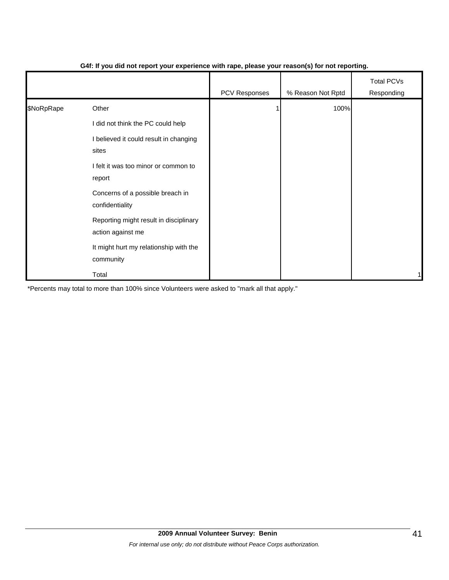|            |                                                             | PCV Responses | % Reason Not Rptd | <b>Total PCVs</b><br>Responding |
|------------|-------------------------------------------------------------|---------------|-------------------|---------------------------------|
| \$NoRpRape | Other                                                       |               | 100%              |                                 |
|            | I did not think the PC could help                           |               |                   |                                 |
|            | I believed it could result in changing<br>sites             |               |                   |                                 |
|            | I felt it was too minor or common to<br>report              |               |                   |                                 |
|            | Concerns of a possible breach in<br>confidentiality         |               |                   |                                 |
|            | Reporting might result in disciplinary<br>action against me |               |                   |                                 |
|            | It might hurt my relationship with the<br>community         |               |                   |                                 |
|            | Total                                                       |               |                   | 1                               |

#### **G4f: If you did not report your experience with rape, please your reason(s) for not reporting.**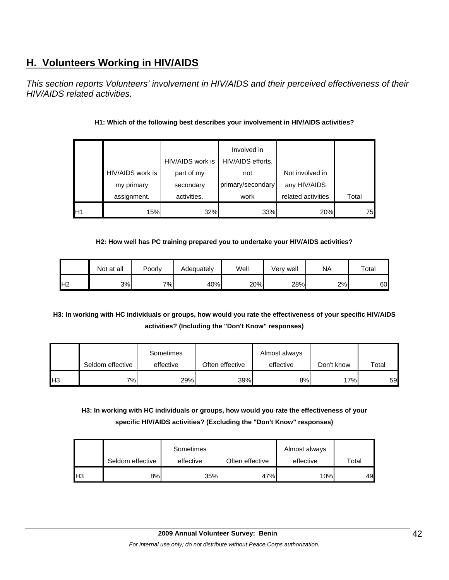# **H. Volunteers Working in HIV/AIDS**

*This section reports Volunteers' involvement in HIV/AIDS and their perceived effectiveness of their HIV/AIDS related activities.* 

|                 |                  |                  | Involved in       |                    |       |
|-----------------|------------------|------------------|-------------------|--------------------|-------|
|                 |                  | HIV/AIDS work is | HIV/AIDS efforts, |                    |       |
|                 | HIV/AIDS work is | part of my       | not               | Not involved in    |       |
|                 | my primary       | secondary        | primary/secondary | any HIV/AIDS       |       |
|                 | assignment.      | activities.      | work              | related activities | Total |
| IH <sub>1</sub> | 15%              | 32%              | 33%               | 20%                | 75    |

## **H1: Which of the following best describes your involvement in HIV/AIDS activities?**

#### **H2: How well has PC training prepared you to undertake your HIV/AIDS activities?**

|                | Not at all | Poorly | Adequately | Well | Very well | ΝA | Total |
|----------------|------------|--------|------------|------|-----------|----|-------|
| H <sub>2</sub> | 3%         | 7%     | 40%        | 20%  | 28%       | 2% | 60    |

**H3: In working with HC individuals or groups, how would you rate the effectiveness of your specific HIV/AIDS activities? (Including the "Don't Know" responses)** 

|     | Seldom effective | Sometimes<br>effective | Often effective | Almost always<br>effective | Don't know | Total |
|-----|------------------|------------------------|-----------------|----------------------------|------------|-------|
| IН3 | 7%I              | 29%                    | 39%             | 8%                         | 17%        | 59    |

**H3: In working with HC individuals or groups, how would you rate the effectiveness of your specific HIV/AIDS activities? (Excluding the "Don't Know" responses)** 

|    | Seldom effective | Sometimes<br>effective | Often effective | Almost always<br>effective | $\tau$ otal |
|----|------------------|------------------------|-----------------|----------------------------|-------------|
| H3 | 8%               | 35%                    | 47%             | 10%                        | 49          |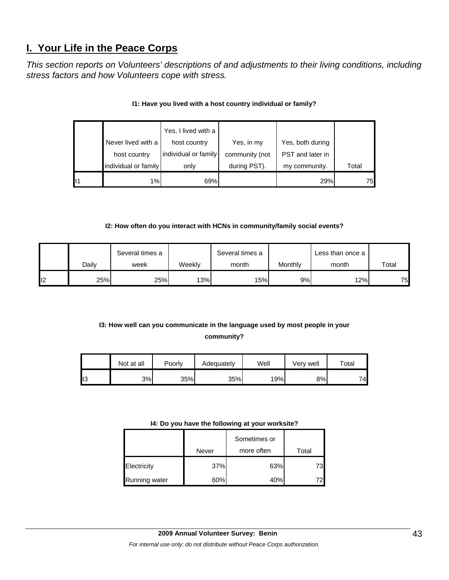# **I. Your Life in the Peace Corps**

*This section reports on Volunteers' descriptions of and adjustments to their living conditions, including stress factors and how Volunteers cope with stress.* 

|    |                      | Yes, I lived with a  |                |                  |       |
|----|----------------------|----------------------|----------------|------------------|-------|
|    | Never lived with a   | host country         | Yes, in my     | Yes, both during |       |
|    | host country         | individual or family | community (not | PST and later in |       |
|    | individual or family | only                 | during PST).   | my community.    | Total |
| l1 | 1%                   | 69%                  |                | 29%              | 75    |

#### **I1: Have you lived with a host country individual or family?**

#### **I2: How often do you interact with HCNs in community/family social events?**

|                 |       | Several times a |        | Several times a |         | Less than once a |       |
|-----------------|-------|-----------------|--------|-----------------|---------|------------------|-------|
|                 | Dailv | week            | Weekly | month           | Monthly | month            | Total |
| l <sub>12</sub> | 25%   | 25%             | 13%    | 15%             | 9%      | 12%              | 75    |

# **I3: How well can you communicate in the language used by most people in your community?**

|     | Not at all | Poorly | Adequately | Well | Very well | $\tau$ otal |
|-----|------------|--------|------------|------|-----------|-------------|
| II3 | 3%         | 35%    | 35%        | 19%  | 8%        | 74          |

#### **I4: Do you have the following at your worksite?**

|               | Never | Sometimes or<br>more often | Total |
|---------------|-------|----------------------------|-------|
| Electricity   | 37%   | 63%                        | 73    |
| Running water | 60%   | 40%                        |       |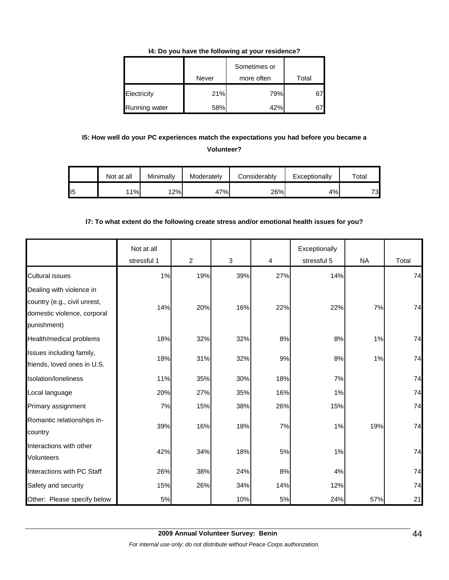#### **I4: Do you have the following at your residence?**

|               | Never | Sometimes or<br>more often | Total |
|---------------|-------|----------------------------|-------|
| Electricity   | 21%   | 79%                        |       |
| Running water | 58%   | 42%                        |       |

## **I5: How well do your PC experiences match the expectations you had before you became a Volunteer?**

|                 | Not at all | Minimally | Moderately | Considerably | Exceptionally | $\tau$ otal |
|-----------------|------------|-----------|------------|--------------|---------------|-------------|
| II <sub>5</sub> | 11%        | 12%       | 47%        | 26%          | 4%            | 73          |

#### **I7: To what extent do the following create stress and/or emotional health issues for you?**

|                                                                                                        | Not at all<br>stressful 1 | 2   | 3   | 4   | Exceptionally<br>stressful 5 | <b>NA</b> | Total |
|--------------------------------------------------------------------------------------------------------|---------------------------|-----|-----|-----|------------------------------|-----------|-------|
| <b>Cultural issues</b>                                                                                 | 1%                        | 19% | 39% | 27% | 14%                          |           | 74    |
| Dealing with violence in<br>country (e.g., civil unrest,<br>domestic violence, corporal<br>punishment) | 14%                       | 20% | 16% | 22% | 22%                          | 7%        | 74    |
| Health/medical problems                                                                                | 18%                       | 32% | 32% | 8%  | 8%                           | 1%        | 74    |
| Issues including family,<br>friends, loved ones in U.S.                                                | 18%                       | 31% | 32% | 9%  | 8%                           | 1%        | 74    |
| Isolation/Ioneliness                                                                                   | 11%                       | 35% | 30% | 18% | 7%                           |           | 74    |
| Local language                                                                                         | 20%                       | 27% | 35% | 16% | 1%                           |           | 74    |
| Primary assignment                                                                                     | 7%                        | 15% | 38% | 26% | 15%                          |           | 74    |
| Romantic relationships in-<br>country                                                                  | 39%                       | 16% | 18% | 7%  | 1%                           | 19%       | 74    |
| Interactions with other<br>Volunteers                                                                  | 42%                       | 34% | 18% | 5%  | 1%                           |           | 74    |
| Interactions with PC Staff                                                                             | 26%                       | 38% | 24% | 8%  | 4%                           |           | 74    |
| Safety and security                                                                                    | 15%                       | 26% | 34% | 14% | 12%                          |           | 74    |
| Other: Please specify below                                                                            | 5%                        |     | 10% | 5%  | 24%                          | 57%       | 21    |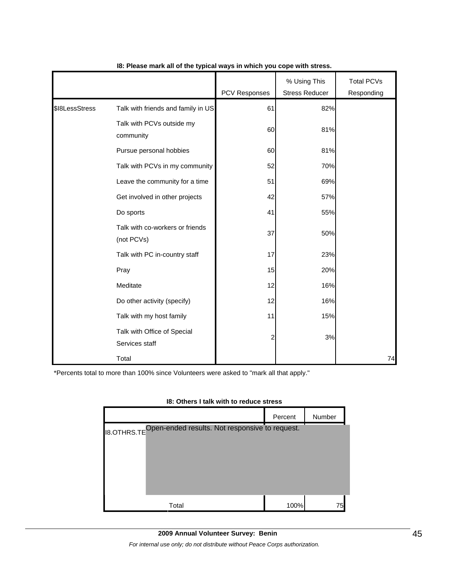|                |                                               | PCV Responses | % Using This<br><b>Stress Reducer</b> | <b>Total PCVs</b><br>Responding |
|----------------|-----------------------------------------------|---------------|---------------------------------------|---------------------------------|
|                |                                               |               |                                       |                                 |
| \$18LessStress | Talk with friends and family in US            | 61            | 82%                                   |                                 |
|                | Talk with PCVs outside my<br>community        | 60            | 81%                                   |                                 |
|                | Pursue personal hobbies                       | 60            | 81%                                   |                                 |
|                | Talk with PCVs in my community                | 52            | 70%                                   |                                 |
|                | Leave the community for a time                | 51            | 69%                                   |                                 |
|                | Get involved in other projects                | 42            | 57%                                   |                                 |
|                | Do sports                                     | 41            | 55%                                   |                                 |
|                | Talk with co-workers or friends<br>(not PCVs) | 37            | 50%                                   |                                 |
|                | Talk with PC in-country staff                 | 17            | 23%                                   |                                 |
|                | Pray                                          | 15            | 20%                                   |                                 |
|                | Meditate                                      | 12            | 16%                                   |                                 |
|                | Do other activity (specify)                   | 12            | 16%                                   |                                 |
|                | Talk with my host family                      | 11            | 15%                                   |                                 |
|                | Talk with Office of Special<br>Services staff | 2             | 3%                                    |                                 |
|                | Total                                         |               |                                       | 74                              |

#### **I8: Please mark all of the typical ways in which you cope with stress.**

\*Percents total to more than 100% since Volunteers were asked to "mark all that apply."

# Percent Number I8.OTHRS.TE Open-ended results. Not responsive to request.Total 100% 75

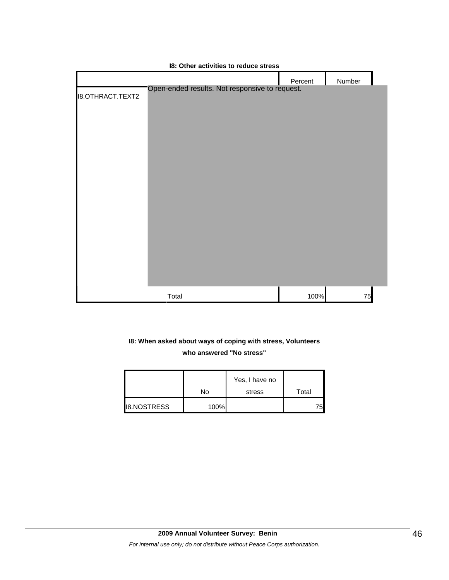|                         |                                                | Percent | Number |
|-------------------------|------------------------------------------------|---------|--------|
| <b>I8.OTHRACT.TEXT2</b> | Open-ended results. Not responsive to request. |         |        |
|                         |                                                |         |        |
|                         |                                                |         |        |
|                         |                                                |         |        |
|                         |                                                |         |        |
|                         |                                                |         |        |
|                         |                                                |         |        |
|                         |                                                |         |        |
|                         |                                                |         |        |
|                         |                                                |         |        |
|                         |                                                |         |        |
|                         |                                                |         |        |
|                         |                                                |         |        |
|                         |                                                |         |        |
|                         |                                                |         |        |
|                         | Total                                          | 100%    | 75     |

#### **I8: Other activities to reduce stress**

# **I8: When asked about ways of coping with stress, Volunteers who answered "No stress"**

|                    |      | Yes, I have no |       |
|--------------------|------|----------------|-------|
|                    | No   | stress         | Total |
| <b>I8.NOSTRESS</b> | 100% |                | 75.   |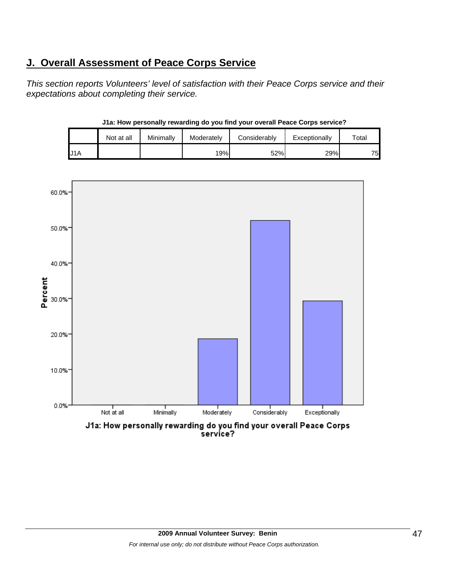# **J. Overall Assessment of Peace Corps Service**

*This section reports Volunteers' level of satisfaction with their Peace Corps service and their expectations about completing their service.*

|     | Not at all | Minimally | Moderately | Considerably | Exceptionally | $\tau$ otal |
|-----|------------|-----------|------------|--------------|---------------|-------------|
| J1A |            |           | 19%        | 52%          | 29%           | 75          |

![](_page_46_Figure_3.jpeg)

**J1a: How personally rewarding do you find your overall Peace Corps service?**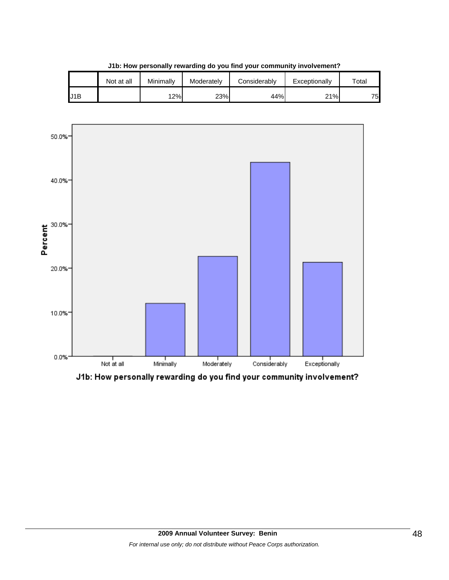|     | Not at all | Minimally | Moderately | Considerably | Exceptionally | $\tau$ otal |  |  |  |  |
|-----|------------|-----------|------------|--------------|---------------|-------------|--|--|--|--|
| J1B |            | 12%       | 23%        | 44%          | 21%           | 75.         |  |  |  |  |

**J1b: How personally rewarding do you find your community involvement?**

![](_page_47_Figure_2.jpeg)

J1b: How personally rewarding do you find your community involvement?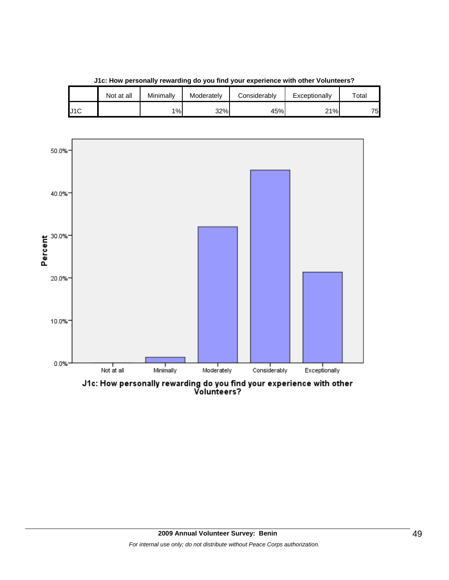![](_page_48_Figure_0.jpeg)

**J1c: How personally rewarding do you find your experience with other Volunteers?**

J1C 1% 32% 45% 21% 75

Not at all | Minimally | Moderately | Considerably | Exceptionally | Total

J1c: How personally rewarding do you find your experience with other<br>Volunteers?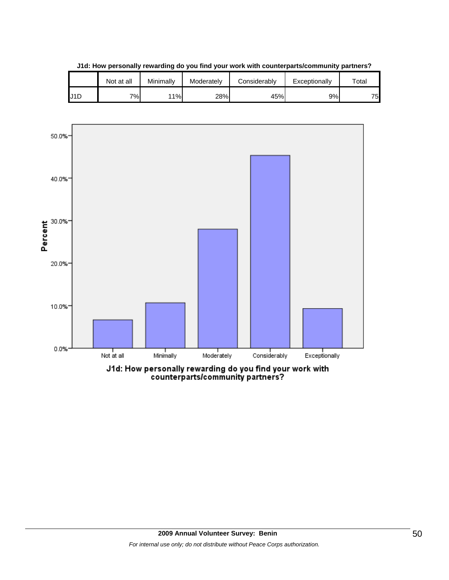|                  | Not at all | Minimallv | Moderately | Considerably | Exceptionally | $\tau$ otal |
|------------------|------------|-----------|------------|--------------|---------------|-------------|
| J <sub>1</sub> D | 7%         | 11%       | 28%        | 45%          | 9%            | 75.         |

**J1d: How personally rewarding do you find your work with counterparts/community partners?**

![](_page_49_Figure_2.jpeg)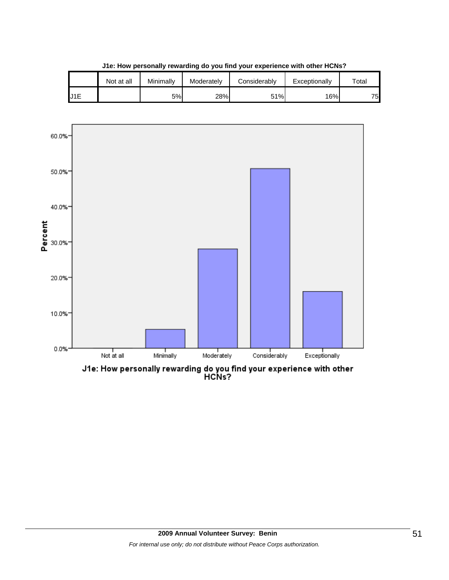![](_page_50_Figure_0.jpeg)

**J1e: How personally rewarding do you find your experience with other HCNs?**

![](_page_50_Figure_2.jpeg)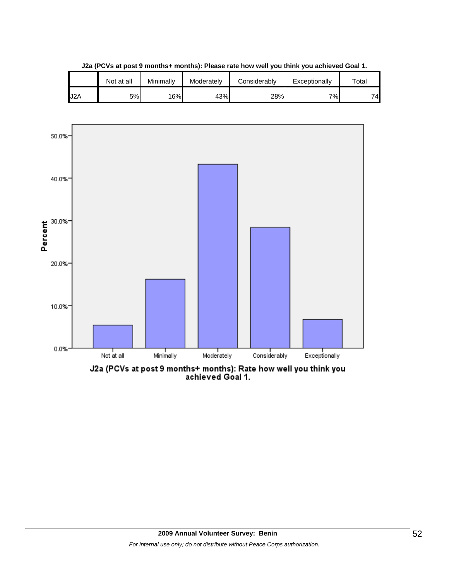|                  | Not at all | Minimally | Moderately | Considerablv | Exceptionally | $\tau$ otal |
|------------------|------------|-----------|------------|--------------|---------------|-------------|
| J <sub>2</sub> A | 5%         | 16%       | 43%        | 28%          | 7%            | 74.         |

**J2a (PCVs at post 9 months+ months): Please rate how well you think you achieved Goal 1.**

![](_page_51_Figure_2.jpeg)

J2a (PCVs at post 9 months+ months): Rate how well you think you<br>achieved Goal 1.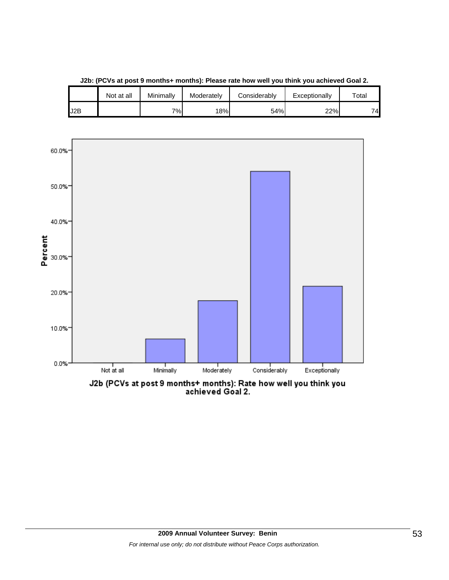![](_page_52_Figure_0.jpeg)

**J2b: (PCVs at post 9 months+ months): Please rate how well you think you achieved Goal 2.**

J2B 7% 18% 54% 22% 74

Not at all | Minimally | Moderately | Considerably | Exceptionally | Total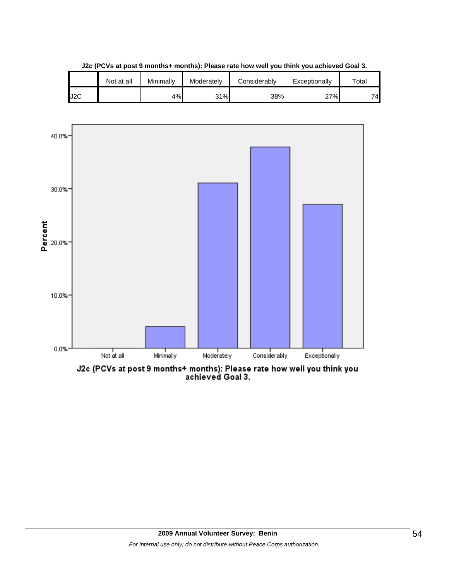![](_page_53_Figure_0.jpeg)

**J2c (PCVs at post 9 months+ months): Please rate how well you think you achieved Goal 3.**

![](_page_53_Figure_2.jpeg)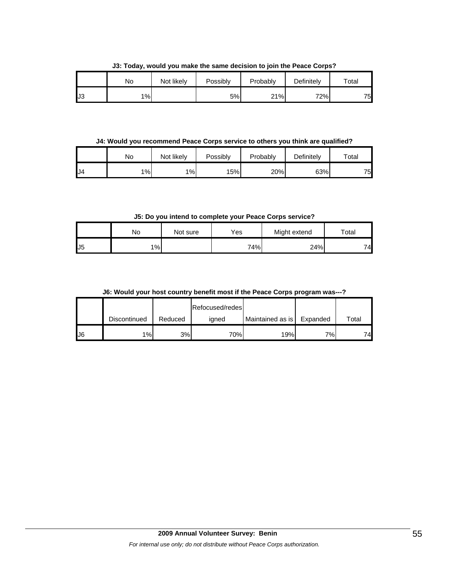|     | No    | Not likely | Possibly | Probably | Definitely | Total |
|-----|-------|------------|----------|----------|------------|-------|
| IJ3 | $1\%$ |            | 5%       | 21%      | 72%        | 75.   |

**J3: Today, would you make the same decision to join the Peace Corps?**

**J4: Would you recommend Peace Corps service to others you think are qualified?**

|    | No | Not likely | Possibly | Probably | Definitely | Total |
|----|----|------------|----------|----------|------------|-------|
| J4 | 1% | 1%         | 15%      | 20%      | 63%        | 75.   |

**J5: Do you intend to complete your Peace Corps service?**

|     | No    | Not sure | Yes | Might extend | Total |
|-----|-------|----------|-----|--------------|-------|
| IJ5 | $1\%$ |          | 74% | 24%          | 74.   |

**J6: Would your host country benefit most if the Peace Corps program was---?**

|     |              |         | Refocused/redes |                  |          |             |
|-----|--------------|---------|-----------------|------------------|----------|-------------|
|     | Discontinued | Reduced | igned           | Maintained as is | Expanded | $\tau$ otal |
| IJ6 | 1%           | 3%      | 70%             | 19%              | 7%       | 74.         |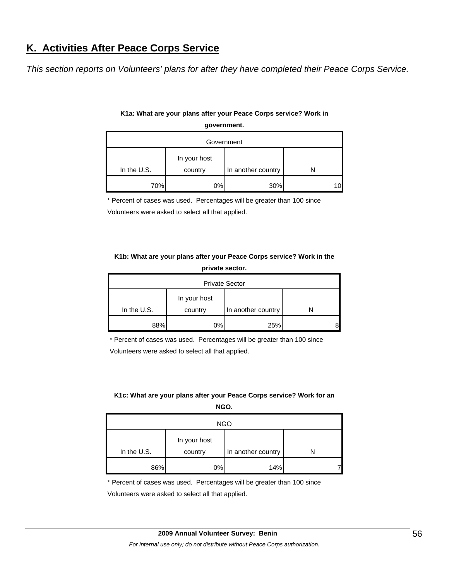# **K. Activities After Peace Corps Service**

*This section reports on Volunteers' plans for after they have completed their Peace Corps Service.* 

| Government  |                         |                    |  |  |  |  |  |  |
|-------------|-------------------------|--------------------|--|--|--|--|--|--|
| In the U.S. | In your host<br>country | In another country |  |  |  |  |  |  |
| 70%         | 0%                      | 30%                |  |  |  |  |  |  |

## **K1a: What are your plans after your Peace Corps service? Work in government.**

\* Percent of cases was used. Percentages will be greater than 100 since

Volunteers were asked to select all that applied.

#### **K1b: What are your plans after your Peace Corps service? Work in the private sector.**

| <b>Private Sector</b> |              |                    |  |  |  |  |  |  |
|-----------------------|--------------|--------------------|--|--|--|--|--|--|
|                       | In your host |                    |  |  |  |  |  |  |
| In the $U.S.$         | country      | In another country |  |  |  |  |  |  |
| 88%                   | 0%           | 25%                |  |  |  |  |  |  |

\* Percent of cases was used. Percentages will be greater than 100 since Volunteers were asked to select all that applied.

#### **K1c: What are your plans after your Peace Corps service? Work for an NGO.**

| <b>NGO</b>  |                         |                    |  |  |  |
|-------------|-------------------------|--------------------|--|--|--|
| In the U.S. | In your host<br>country | In another country |  |  |  |
| 86%         | 0%                      | 14%                |  |  |  |

\* Percent of cases was used. Percentages will be greater than 100 since

Volunteers were asked to select all that applied.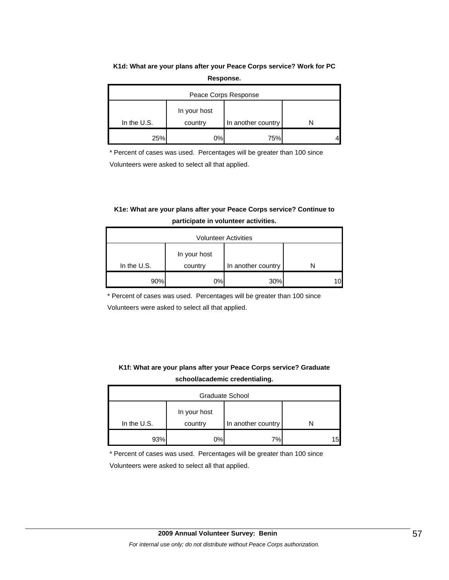# **K1d: What are your plans after your Peace Corps service? Work for PC**

| Response. |
|-----------|
|-----------|

| Peace Corps Response |              |                    |  |  |  |
|----------------------|--------------|--------------------|--|--|--|
|                      | In your host |                    |  |  |  |
| In the $U.S.$        | country      | In another country |  |  |  |
| 25%                  | 0%           | 75%                |  |  |  |

\* Percent of cases was used. Percentages will be greater than 100 since Volunteers were asked to select all that applied.

# **K1e: What are your plans after your Peace Corps service? Continue to participate in volunteer activities.**

| <b>Volunteer Activities</b> |                         |                    |  |  |
|-----------------------------|-------------------------|--------------------|--|--|
| In the $U.S.$               | In your host<br>country | In another country |  |  |
| 90%                         | 0%                      | 30%                |  |  |

\* Percent of cases was used. Percentages will be greater than 100 since

Volunteers were asked to select all that applied.

## **K1f: What are your plans after your Peace Corps service? Graduate school/academic credentialing.**

| Graduate School |                         |                    |   |  |  |
|-----------------|-------------------------|--------------------|---|--|--|
| In the U.S.     | In your host<br>country | In another country |   |  |  |
| 93%             | 0%                      | 7%                 | 5 |  |  |

\* Percent of cases was used. Percentages will be greater than 100 since

Volunteers were asked to select all that applied.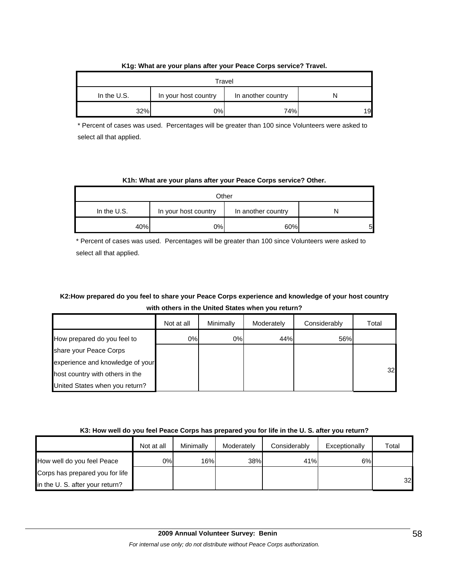|               |                      | Travel             |    |
|---------------|----------------------|--------------------|----|
| In the $U.S.$ | In your host country | In another country |    |
| 32%           | 0%                   | 74%                | 19 |

#### **K1g: What are your plans after your Peace Corps service? Travel.**

\* Percent of cases was used. Percentages will be greater than 100 since Volunteers were asked to select all that applied.

#### **K1h: What are your plans after your Peace Corps service? Other.**

| Other         |                      |                    |   |  |  |
|---------------|----------------------|--------------------|---|--|--|
| In the $U.S.$ | In your host country | In another country | N |  |  |
| 40%           | 0%                   | 60%                | 5 |  |  |

\* Percent of cases was used. Percentages will be greater than 100 since Volunteers were asked to select all that applied.

## **K2:How prepared do you feel to share your Peace Corps experience and knowledge of your host country with others in the United States when you return?**

|                                  | Not at all | Minimally | Moderately | Considerably | Total |
|----------------------------------|------------|-----------|------------|--------------|-------|
| How prepared do you feel to      | 0%         | 0%        | 44%        | 56%          |       |
| share your Peace Corps           |            |           |            |              |       |
| experience and knowledge of your |            |           |            |              |       |
| host country with others in the  |            |           |            |              | 32    |
| United States when you return?   |            |           |            |              |       |

#### **K3: How well do you feel Peace Corps has prepared you for life in the U. S. after you return?**

|                                 | Not at all | Minimally | Moderately | Considerably | Exceptionally | Total |
|---------------------------------|------------|-----------|------------|--------------|---------------|-------|
| How well do you feel Peace      | 0%I        | 16%       | 38%        | 41%          | 6%            |       |
| Corps has prepared you for life |            |           |            |              |               |       |
| in the U. S. after your return? |            |           |            |              |               | 32    |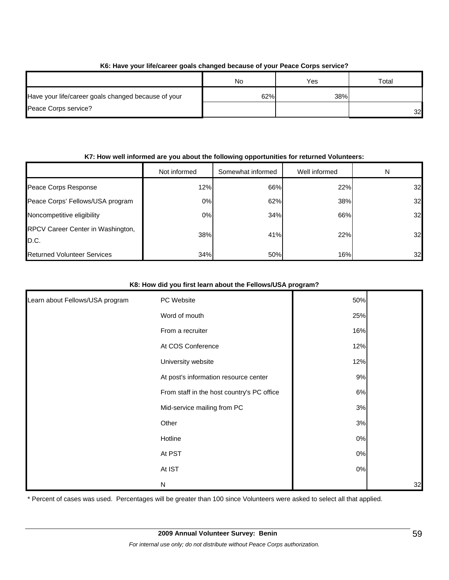| <u>no. Have your illercated yours changed because of your Feace outps service:</u> |     |     |                 |  |  |  |
|------------------------------------------------------------------------------------|-----|-----|-----------------|--|--|--|
|                                                                                    | No  | Yes | Total           |  |  |  |
| Have your life/career goals changed because of your                                | 62% | 38% |                 |  |  |  |
| Peace Corps service?                                                               |     |     | 32 <sup>l</sup> |  |  |  |

## **K6: Have your life/career goals changed because of your Peace Corps service?**

#### **K7: How well informed are you about the following opportunities for returned Volunteers:**

|                                           | Not informed | Somewhat informed | Well informed | N  |
|-------------------------------------------|--------------|-------------------|---------------|----|
| Peace Corps Response                      | 12%          | 66%               | 22%           | 32 |
| Peace Corps' Fellows/USA program          | 0%           | 62%               | 38%           | 32 |
| Noncompetitive eligibility                | 0%           | 34%               | 66%           | 32 |
| RPCV Career Center in Washington,<br>D.C. | 38%          | 41%               | 22%           | 32 |
| <b>Returned Volunteer Services</b>        | 34%          | 50%               | 16%           | 32 |

#### **K8: How did you first learn about the Fellows/USA program?**

| Learn about Fellows/USA program | PC Website                                 | 50%   |    |
|---------------------------------|--------------------------------------------|-------|----|
|                                 | Word of mouth                              | 25%   |    |
|                                 | From a recruiter                           | 16%   |    |
|                                 | At COS Conference                          | 12%   |    |
|                                 | University website                         | 12%   |    |
|                                 | At post's information resource center      | 9%    |    |
|                                 | From staff in the host country's PC office | 6%    |    |
|                                 | Mid-service mailing from PC                | 3%    |    |
|                                 | Other                                      | 3%    |    |
|                                 | Hotline                                    | $0\%$ |    |
|                                 | At PST                                     | $0\%$ |    |
|                                 | At IST                                     | $0\%$ |    |
|                                 | ${\sf N}$                                  |       | 32 |

\* Percent of cases was used. Percentages will be greater than 100 since Volunteers were asked to select all that applied.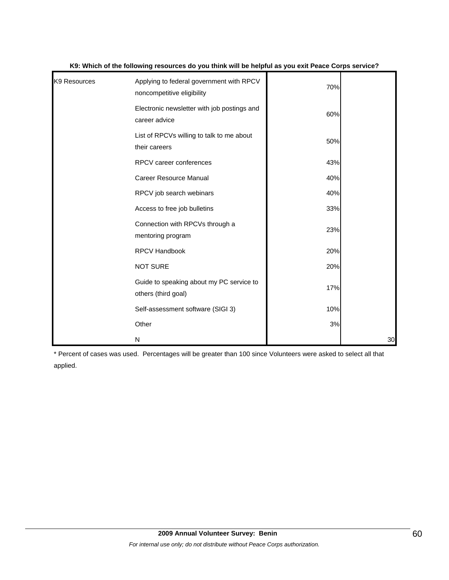| K9 Resources | Applying to federal government with RPCV<br>noncompetitive eligibility | 70% |    |
|--------------|------------------------------------------------------------------------|-----|----|
|              | Electronic newsletter with job postings and<br>career advice           | 60% |    |
|              | List of RPCVs willing to talk to me about<br>their careers             | 50% |    |
|              | <b>RPCV</b> career conferences                                         | 43% |    |
|              | Career Resource Manual                                                 | 40% |    |
|              | RPCV job search webinars                                               | 40% |    |
|              | Access to free job bulletins                                           | 33% |    |
|              | Connection with RPCVs through a<br>mentoring program                   | 23% |    |
|              | <b>RPCV Handbook</b>                                                   | 20% |    |
|              | <b>NOT SURE</b>                                                        | 20% |    |
|              | Guide to speaking about my PC service to<br>others (third goal)        | 17% |    |
|              | Self-assessment software (SIGI 3)                                      | 10% |    |
|              | Other                                                                  | 3%  |    |
|              | N                                                                      |     | 30 |

#### **K9: Which of the following resources do you think will be helpful as you exit Peace Corps service?**

\* Percent of cases was used. Percentages will be greater than 100 since Volunteers were asked to select all that applied.